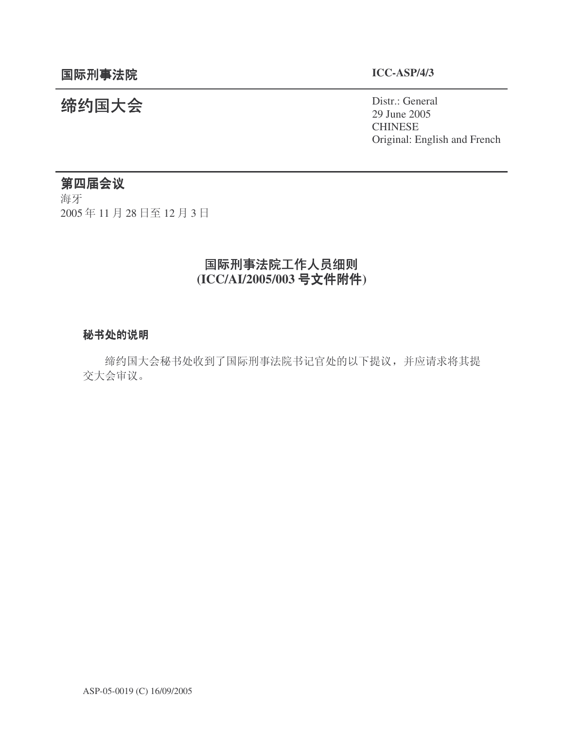㓨㑺Ӯ Distr.: General 29 June 2005 CHINESE Original: English and French

# 第四届会议

海牙 2005年11月28日至12月3日

# 国际刑事法院工作人员细则 **(ICC/AI/2005/003 号文件附件)**

# 秘书处的说明

缔约国大会秘书处收到了国际刑事法院书记官处的以下提议,并应请求将其提 交大会审议。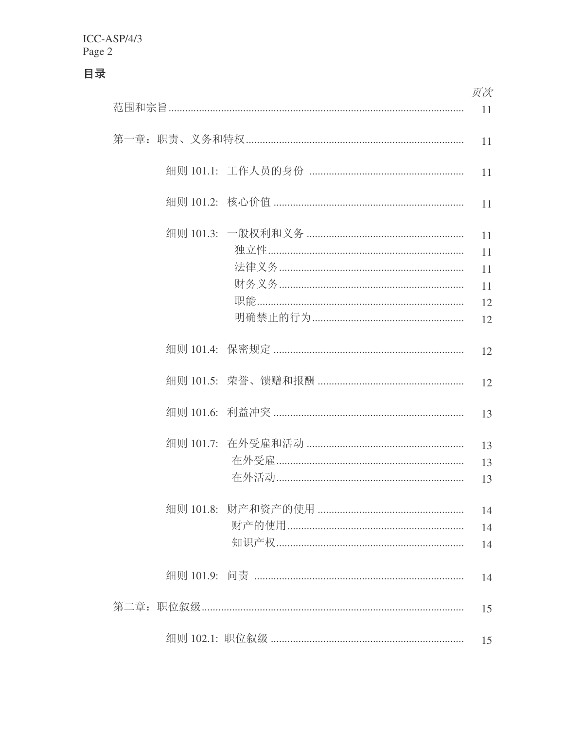目录

|  |  | 页次                               |
|--|--|----------------------------------|
|  |  |                                  |
|  |  | 11                               |
|  |  | 11                               |
|  |  | 11                               |
|  |  | 11<br>11<br>11<br>11<br>12<br>12 |
|  |  | 12                               |
|  |  | 12                               |
|  |  | 13                               |
|  |  | 13<br>13<br>13                   |
|  |  | 14<br>14<br>14                   |
|  |  | 14                               |
|  |  | 15                               |
|  |  | 15                               |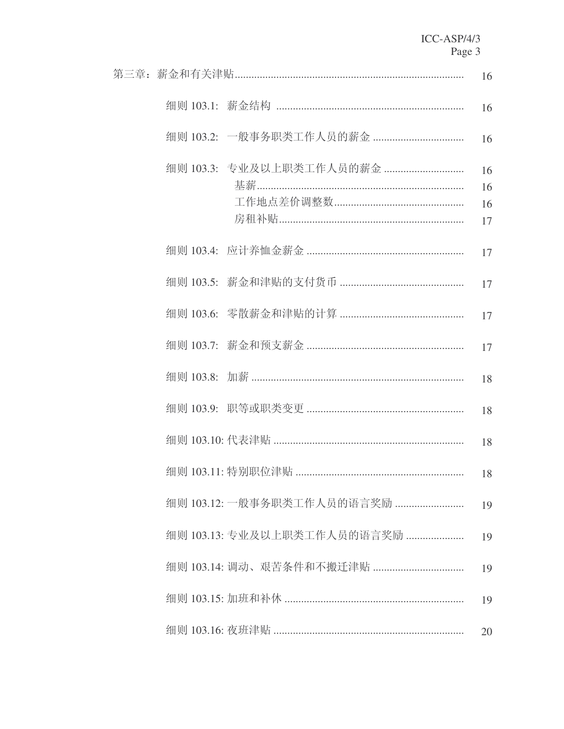|                             | 16                   |
|-----------------------------|----------------------|
|                             | 16                   |
|                             | 16                   |
| 细则 103.3: 专业及以上职类工作人员的薪金    | 16<br>16<br>16<br>17 |
|                             | 17                   |
|                             | 17                   |
|                             | 17                   |
|                             | 17                   |
|                             | 18                   |
|                             | 18                   |
|                             | 18                   |
|                             |                      |
| 细则 103.12: 一般事务职类工作人员的语言奖励  | 19                   |
| 细则 103.13: 专业及以上职类工作人员的语言奖励 | 19                   |
| 细则 103.14: 调动、艰苦条件和不搬迁津贴    | 19                   |
|                             | 19                   |
|                             | 20                   |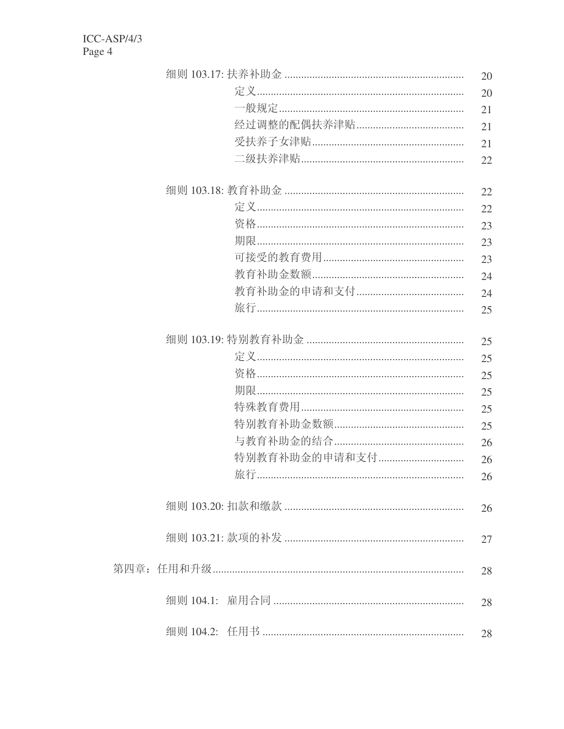|               | 20 |
|---------------|----|
|               | 20 |
|               | 21 |
|               | 21 |
|               | 21 |
|               | 22 |
|               |    |
|               | 22 |
|               | 22 |
|               | 23 |
|               | 23 |
|               | 23 |
|               | 24 |
|               | 24 |
|               | 25 |
|               |    |
|               | 25 |
|               | 25 |
|               | 25 |
|               | 25 |
|               | 25 |
|               | 25 |
|               | 26 |
| 特别教育补助金的申请和支付 | 26 |
| 旅行.           | 26 |
|               | 26 |
|               |    |
|               | 27 |
|               |    |
|               | 28 |
|               | 28 |
|               |    |
|               | 28 |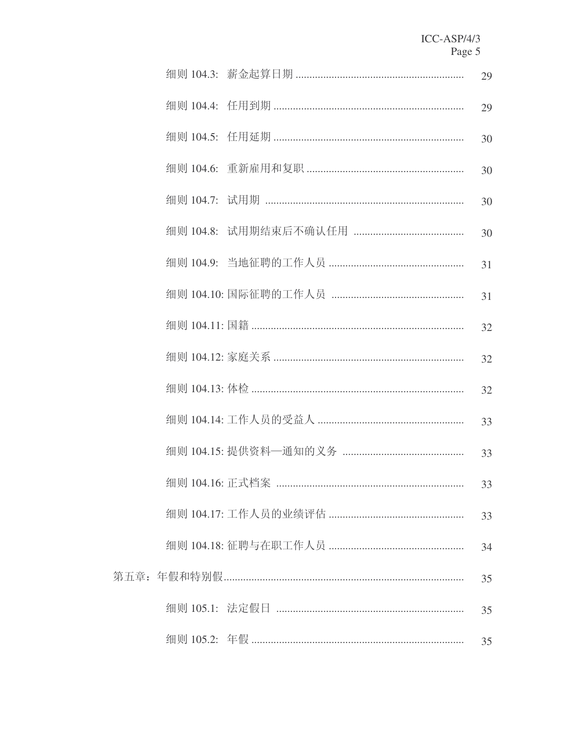|  |  | 29 |
|--|--|----|
|  |  | 29 |
|  |  | 30 |
|  |  | 30 |
|  |  | 30 |
|  |  | 30 |
|  |  | 31 |
|  |  | 31 |
|  |  | 32 |
|  |  | 32 |
|  |  | 32 |
|  |  | 33 |
|  |  | 33 |
|  |  | 33 |
|  |  | 33 |
|  |  | 34 |
|  |  | 35 |
|  |  | 35 |
|  |  | 35 |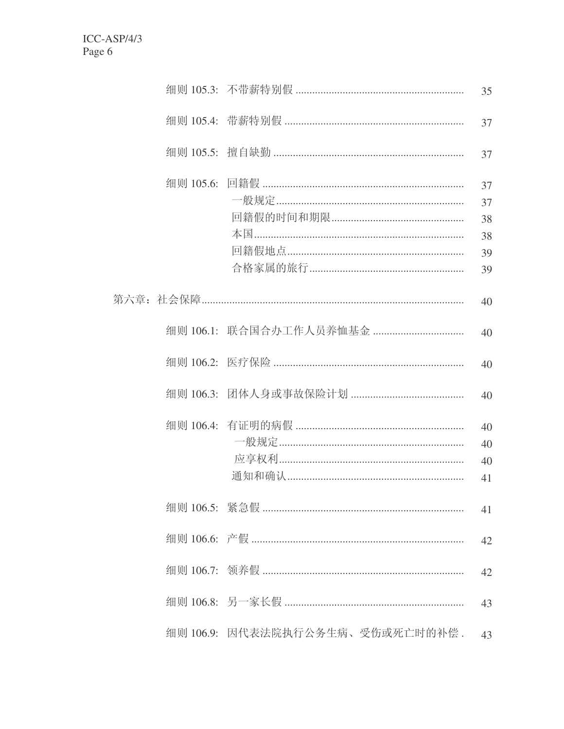|                                  | 35                               |
|----------------------------------|----------------------------------|
|                                  | 37                               |
|                                  | 37                               |
| 本国………………………………………………………………       | 37<br>37<br>38<br>38<br>39<br>39 |
|                                  | 40                               |
|                                  | 40                               |
|                                  | 40                               |
|                                  | 40                               |
|                                  | 40<br>40<br>40<br>41             |
|                                  | 41                               |
|                                  | 42                               |
|                                  | 42                               |
|                                  | 43                               |
| 细则 106.9:因代表法院执行公务生病、受伤或死亡时的补偿 . | 43                               |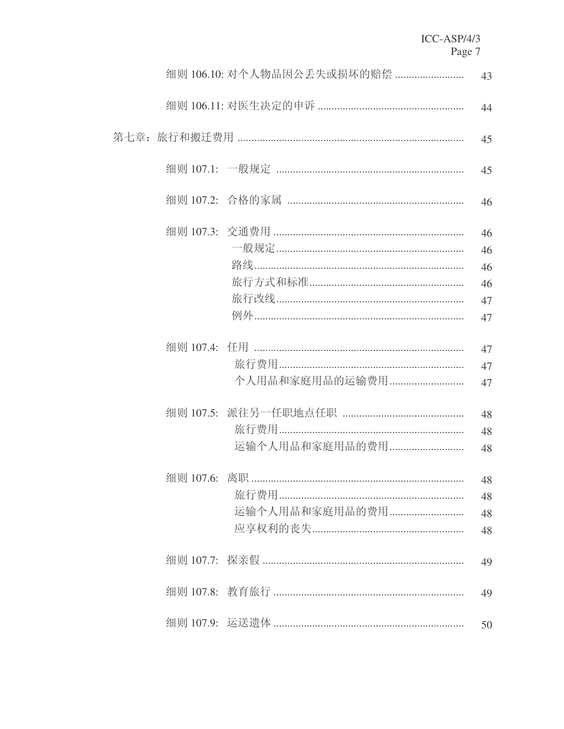|  | 细则 106.10: 对个人物品因公丢失或损坏的赔偿 | 43                               |
|--|----------------------------|----------------------------------|
|  |                            | 44                               |
|  |                            | 45                               |
|  |                            | 45                               |
|  |                            | 46                               |
|  |                            | 46<br>46<br>46<br>46<br>47<br>47 |
|  | 个人用品和家庭用品的运输费用             | 47<br>47<br>47                   |
|  | 运输个人用品和家庭用品的费用             | 48<br>48<br>48                   |
|  | 运输个人用品和家庭用品的费用             | 48<br>48<br>48<br>48             |
|  |                            | 49                               |
|  |                            | 49                               |
|  |                            | 50                               |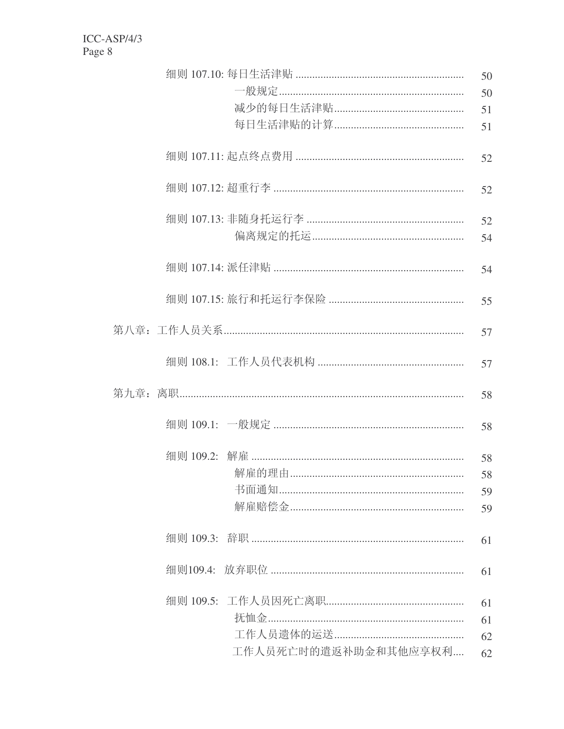|  |                                            | 50       |
|--|--------------------------------------------|----------|
|  |                                            | 50       |
|  |                                            | 51       |
|  |                                            | 51       |
|  |                                            | 52       |
|  |                                            | 52       |
|  |                                            | 52<br>54 |
|  |                                            | 54       |
|  |                                            | 55       |
|  |                                            | 57       |
|  |                                            | 57       |
|  |                                            | 58       |
|  |                                            | 58       |
|  | 细则 109.2: 解雇 …………………………………………………………………………… | 58       |
|  |                                            | 58       |
|  |                                            | 59       |
|  |                                            | 59       |
|  |                                            | 61       |
|  |                                            | 61       |
|  |                                            | 61       |
|  |                                            | 61       |
|  |                                            | 62       |
|  | 工作人员死亡时的遣返补助金和其他应享权利                       | 62       |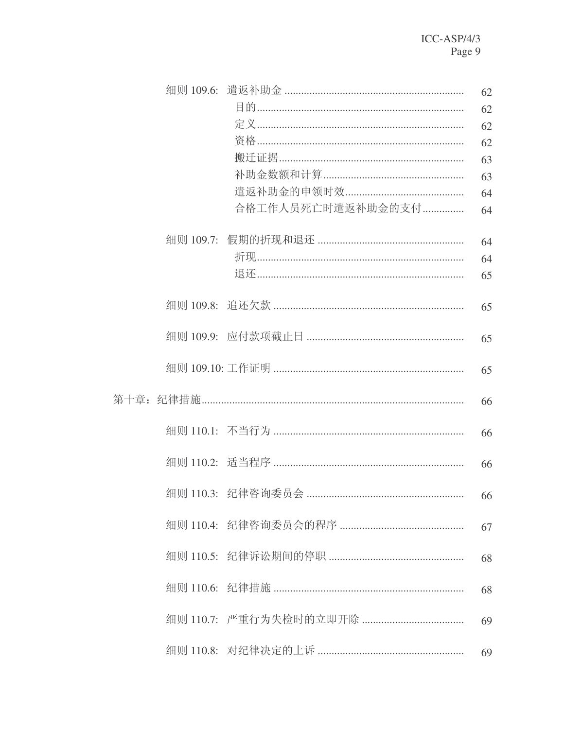|                            | 62       |
|----------------------------|----------|
|                            | 62       |
|                            | 62<br>62 |
|                            | 63       |
|                            | 63       |
|                            | 64       |
| 合格工作人员死亡时遣返补助金的支付          | 64       |
|                            | 64       |
| 折现……………………………………………………………… | 64       |
|                            | 65       |
|                            | 65       |
|                            |          |
|                            | 65       |
|                            | 65       |
|                            | 66       |
|                            | 66       |
|                            | 66       |
|                            | 66       |
|                            | 67       |
|                            | 68       |
|                            | 68       |
|                            | 69       |
|                            | 69       |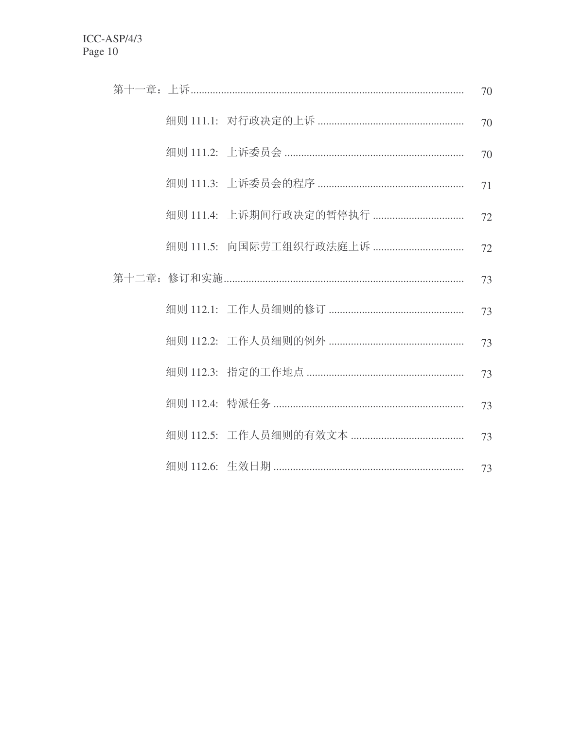|  | 70 |
|--|----|
|  | 70 |
|  | 70 |
|  | 71 |
|  | 72 |
|  | 72 |
|  | 73 |
|  | 73 |
|  | 73 |
|  | 73 |
|  | 73 |
|  | 73 |
|  | 73 |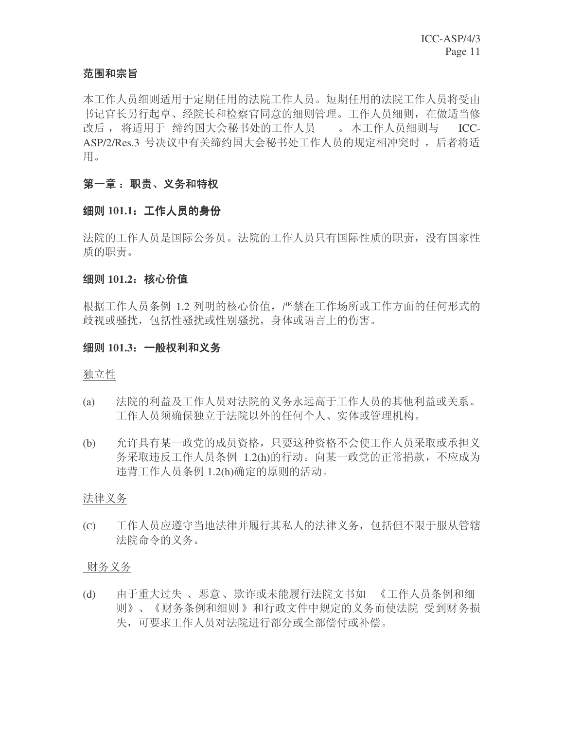# 范围和宗旨

本工作人员细则适用于定期任用的法院工作人员。短期任用的法院工作人员将受由 书记官长另行起草、经院长和检察官同意的细则管理。工作人员细则, 在做适当修 改后, 将适用于 缔约国大会秘书处的工作人员 。本工作人员细则与 ICC-ASP/2/Res.3 号决议中有关缔约国大会秘书处工作人员的规定相冲突时, 后者将适 用。

# 第一章: 职责、义务和特权

#### 细则 101.1: 工作人员的身份

法院的工作人员是国际公务员。法院的工作人员只有国际性质的职责, 没有国家性 质的职责。

#### 细则 101.2: 核心价值

根据工作人员条例 1.2 列明的核心价值, 严禁在工作场所或工作方面的任何形式的 歧视或骚扰, 包括性骚扰或性别骚扰, 身体或语言上的伤害。

#### 细则 101.3: 一般权利和义务

#### 独立性

- (a) 決院的利益及工作人员对法院的义务永远高于工作人员的其他利益或关系。 工作人员须确保独立于法院以外的任何个人、实体或管理机构。
- (b) 允许具有某一政党的成员资格, 只要这种资格不会使工作人员采取或承担义 务采取违反工作人员条例 1.2(h)的行动。向某一政党的正常捐款, 不应成为 违背工作人员条例 1.2(h)确定的原则的活动。

#### 法律义务

(c) 工作人员应遵守当地法律并履行其私人的法律义务, 包括但不限于服从管辖 法院命令的义务。

#### 财务义务

(d) 由于重大过失、恶意、欺诈或未能履行法院文书如 《工作人员条例和细 则》、《财务条例和细则》和行政文件中规定的义务而使法院 受到财务损 失,可要求工作人员对法院进行部分或全部偿付或补偿。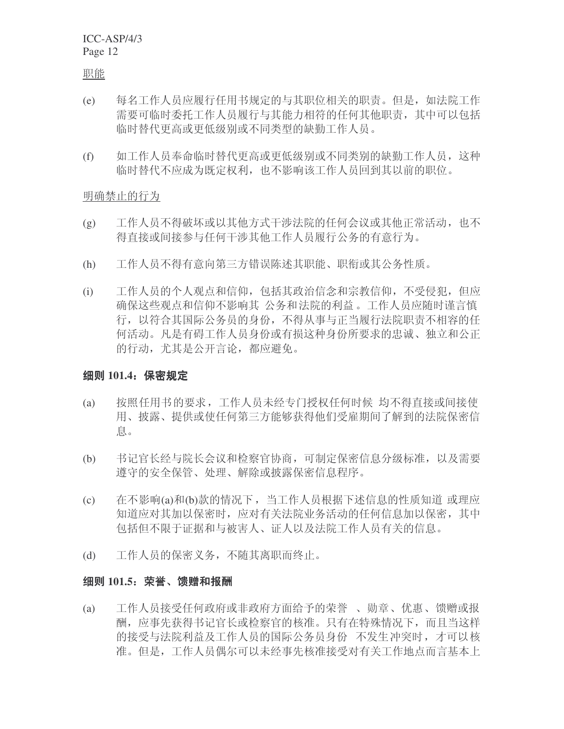职能

- (e) 每名工作人员应履行任用书规定的与其职位相关的职责。但是, 如法院工作 需要可临时委托工作人员履行与其能力相符的任何其他职责, 其中可以包括 临时替代更高或更低级别或不同类型的缺勤工作人员。
- (f) 如工作人员奉命临时替代更高或更低级别或不同类别的缺勤工作人员, 这种 临时替代不应成为既定权利,也不影响该工作人员回到其以前的职位。

明确禁止的行为

- (g) 工作人员不得破坏或以其他方式干涉法院的任何会议或其他正常活动, 也不 得直接或间接参与任何干涉其他工作人员履行公务的有意行为。
- (h) 工作人员不得有意向第三方错误陈述其职能、职衔或其公务性质。
- (i) 工作人员的个人观点和信仰, 包括其政治信念和宗教信仰, 不受侵犯, 但应 确保这些观点和信仰不影响其 公务和法院的利益。工作人员应随时谨言慎 行, 以符合其国际公务员的身份, 不得从事与正当履行法院职责不相容的任 何活动。凡是有碍工作人员身份或有损这种身份所要求的忠诚、独立和公正 的行动, 尤其是公开言论, 都应避免。

# 细则 101.4: 保密规定

- (a) 按照任用书的要求,工作人员未经专门授权任何时候 均不得直接或间接使 用、披露、提供或使任何第三方能够获得他们受雇期间了解到的法院保密信 息。
- (b) 书记官长经与院长会议和检察官协商, 可制定保密信息分级标准, 以及需要 遵守的安全保管、处理、解除或披露保密信息程序。
- (c) 在不影响(a)和(b)款的情况下, 当工作人员根据下述信息的性质知道 或理应 知道应对其加以保密时, 应对有关法院业务活动的任何信息加以保密, 其中 包括但不限于证据和与被害人、证人以及法院工作人员有关的信息。
- (d) 工作人员的保密义务, 不随其离职而终止。

#### 细则 101.5: 荣誉、馈赠和报酬

(a) 工作人员接受任何政府或非政府方面给予的荣誉、勋章、优惠、馈赠或报 酬, 应事先获得书记官长或检察官的核准。只有在特殊情况下, 而且当这样 的接受与法院利益及工作人员的国际公务员身份 不发生冲突时, 才可以核 准。但是,工作人员偶尔可以未经事先核准接受对有关工作地点而言基本上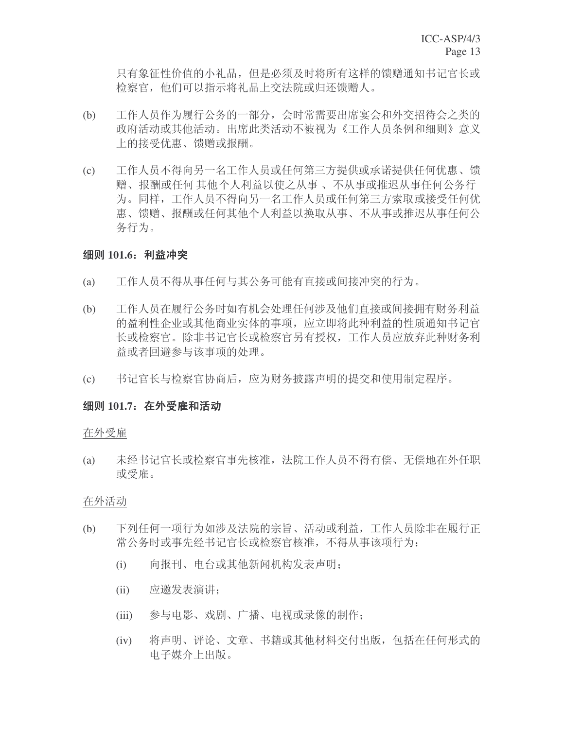只有象征性价值的小礼品, 但是必须及时将所有这样的馈赠通知书记官长或 检察官, 他们可以指示将礼品上交法院或归还馈赠人。

- (b) 工作人员作为履行公务的一部分, 会时常需要出席宴会和外交招待会之类的 政府活动或其他活动。出席此类活动不被视为《工作人员条例和细则》意义 上的接受优惠、馈赠或报酬。
- (c) 工作人员不得向另一名工作人员或任何第三方提供或承诺提供任何优惠、馈 赠、报酬或任何其他个人利益以使之从事、不从事或推迟从事任何公务行 为。同样,工作人员不得向另一名工作人员或任何第三方索取或接受任何优 惠、馈赠、报酬或任何其他个人利益以换取从事、不从事或推迟从事任何公 务行为。

# 细则 101.6: 利益冲突

- (a) 工作人员不得从事任何与其公务可能有直接或间接冲突的行为。
- (b) 工作人员在履行公务时如有机会处理任何涉及他们直接或间接拥有财务利益 的盈利性企业或其他商业实体的事项, 应立即将此种利益的性质通知书记官 长或检察官。除非书记官长或检察官另有授权,工作人员应放弃此种财务利 益或者回避参与该事项的处理。
- (c) 书记官长与检察官协商后, 应为财务披露声明的提交和使用制定程序。

#### **细则 101.7: 在外受雇和活动**

#### 在外受雇

(a) 未经书记官长或检察官事先核准, 法院工作人员不得有偿、无偿地在外任职 或受雇。

#### 在外活动

- (b) 下列任何一项行为如涉及法院的宗旨、活动或利益,工作人员除非在履行正 常公务时或事先经书记官长或检察官核准, 不得从事该项行为:
	- (i) 向报刊、电台或其他新闻机构发表声明:
	- (ii) 应邀发表演讲:
	- (iii) 参与电影、戏剧、广播、电视或录像的制作;
	- (iv) 将声明、评论、文章、书籍或其他材料交付出版,包括在任何形式的 电子媒介上出版。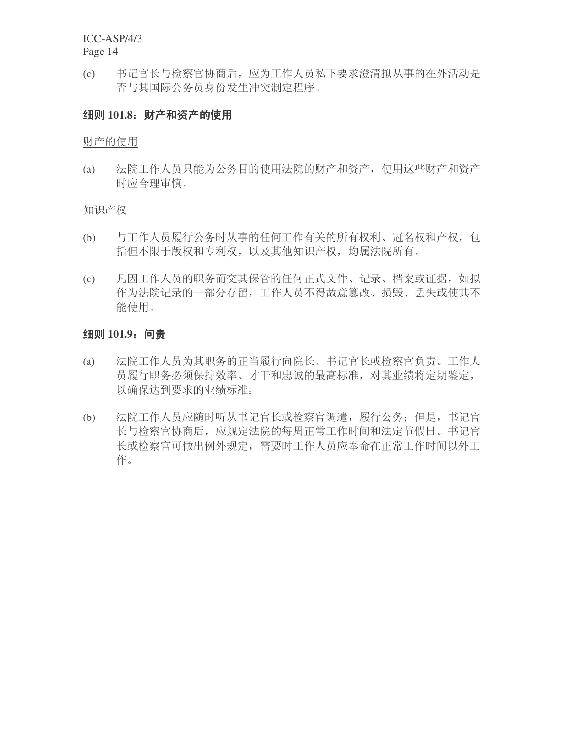(c) 书记官长与检察官协商后, 应为工作人员私下要求澄清拟从事的在外活动是 否与其国际公务员身份发生冲突制定程序。

# 细则 101.8: 财产和资产的使用

财产的使用

(a) 法院工作人员只能为公务目的使用法院的财产和资产, 使用这些财产和资产 时应合理审慎。

#### 知识产权

- (b) 与工作人员履行公务时从事的任何工作有关的所有权利、冠名权和产权,包 括但不限于版权和专利权, 以及其他知识产权, 均属法院所有。
- (c) 凡因工作人员的职务而交其保管的任何正式文件、记录、档案或证据, 如拟 作为法院记录的一部分存留, 工作人员不得故意篡改、损毁、丢失或使其不 能使用。

# 细则 101.9: 问责

- (a) 法院工作人员为其职务的正当履行向院长、书记官长或检察官负责。工作人 员履行职务必须保持效率、才干和忠诚的最高标准, 对其业绩将定期鉴定, 以确保达到要求的业绩标准。
- (b) 法院工作人员应随时听从书记官长或检察官调遣,履行公务;但是,书记官 长与检察官协商后, 应规定法院的每周正常工作时间和法定节假日。书记官 长或检察官可做出例外规定, 需要时工作人员应奉命在正常工作时间以外工 作。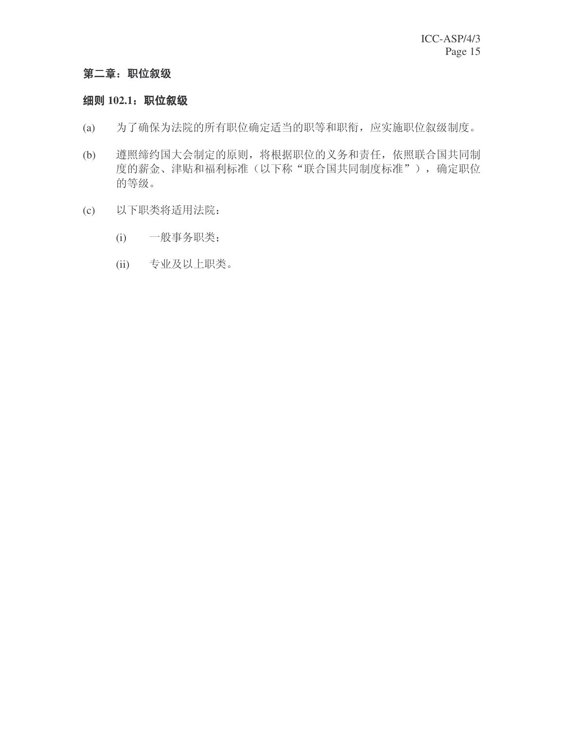# 第二章: 职位叙级

# 细则 102.1: 职位叙级

- (a) 为了确保为法院的所有职位确定适当的职等和职衔, 应实施职位叙级制度。
- (b) 遵照缔约国大会制定的原则,将根据职位的义务和责任,依照联合国共同制 度的薪金、津贴和福利标准(以下称"联合国共同制度标准"),确定职位 的等级。
- (c) 以下职类将适用法院:
	- (i) 一般事务职类;
	- (ii) 专业及以上职类。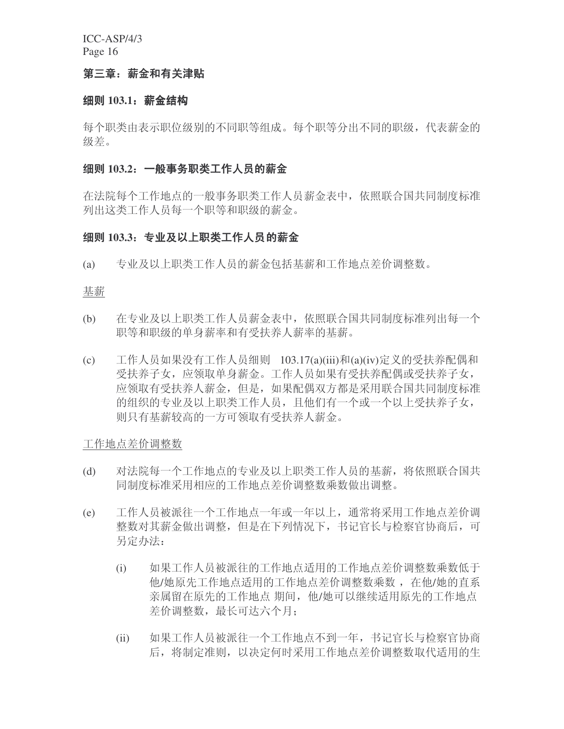# 第三章: 薪金和有关津贴

#### **细则 103.1: 薪金结构**

每个职类由表示职位级别的不同职等组成。每个职等分出不同的职级,代表薪金的 级差。

#### 纽则 103.2: 一般事务职类工作人员的薪金

在法院每个工作地点的一般事务职类工作人员薪金表中,依照联合国共同制度标准 列出这类工作人员每一个职等和职级的薪金。

#### 纽则 103.3: 专业及以上职类工作人员的薪金

(a) 专业及以上职类工作人员的薪金包括基薪和工作地点差价调整数。

#### 基薪

- (b) 在专业及以上职类工作人员薪金表中, 依照联合国共同制度标准列出每一个 职等和职级的单身薪率和有受扶养人薪率的基薪。
- (c) 工作人员如果没有工作人员细则 103.17(a)(iii)和(a)(iv)定义的受扶养配偶和 受扶养子女, 应领取单身薪金。工作人员如果有受扶养配偶或受扶养子女, 应领取有受扶养人薪金, 但是, 如果配偶双方都是采用联合国共同制度标准 的组织的专业及以上职类工作人员,且他们有一个或一个以上受扶养子女, 则只有基薪较高的一方可领取有受扶养人薪金。

工作地点差价调整数

- (d) 对法院每一个工作地点的专业及以上职类工作人员的基薪, 将依照联合国共 同制度标准采用相应的工作地点差价调整数乘数做出调整。
- (e) 工作人员被派往一个工作地点一年或一年以上, 通常将采用工作地点差价调 整数对其薪金做出调整,但是在下列情况下,书记官长与检察官协商后,可 另定办法:
	- (i) 如果工作人员被派往的工作地点适用的工作地点差价调整数乘数低于 他/她原先工作地点适用的工作地点差价调整数乘数, 在他/她的直系 亲属留在原先的工作地点 期间, 他/她可以继续适用原先的工作地点 差价调整数, 最长可达六个月;
	- (ii) 如果工作人员被派往一个工作地点不到一年, 书记官长与检察官协商 后, 将制定准则, 以决定何时采用工作地点差价调整数取代适用的生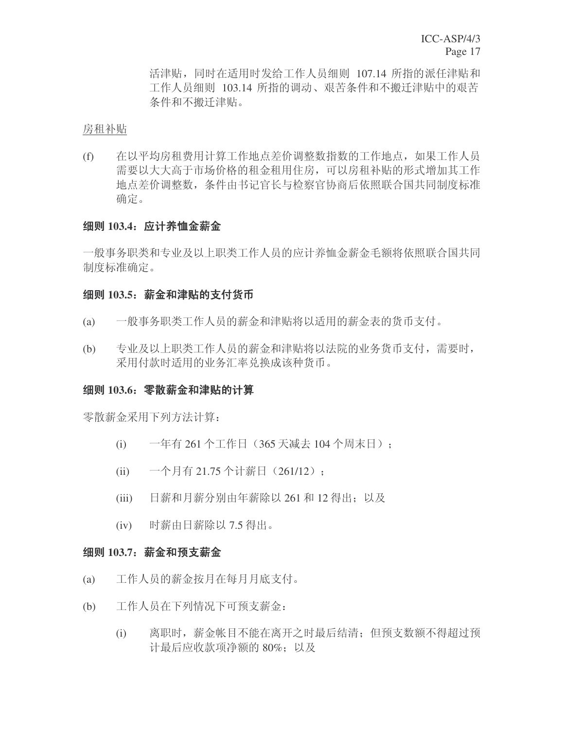活津贴, 同时在适用时发给工作人员细则 107.14 所指的派任津贴和 工作人员细则 103.14 所指的调动、艰苦条件和不搬迁津贴中的艰苦 条件和不搬迁津贴。

房租补贴

(f) 在以平均房租费用计算工作地点差价调整数指数的工作地点, 如果工作人员 需要以大大高于市场价格的租金租用住房,可以房租补贴的形式增加其工作 地点差价调整数, 条件由书记官长与检察官协商后依照联合国共同制度标准 确定。

# 细则 103.4: 应计养恤金薪金

一般事务职类和专业及以上职类工作人员的应计养恤金薪金毛额将依照联合国共同 制度标准确定。

#### 细则 103.5: 薪金和津贴的支付货币

- (a) 一般事务职类工作人员的薪金和津贴将以适用的薪金表的货币支付。
- (b) 专业及以上职类工作人员的薪金和津贴将以法院的业务货币支付, 需要时, 采用付款时适用的业务汇率兑换成该种货币。

#### 纽则 103.6: 零散薪金和津贴的计算

零散薪金采用下列方法计算:

- (i) 一年有 261 个工作日 (365 天减去 104 个周末日);
- (ii) 一个月有 21.75 个计薪日 (261/12);
- (iii) 日薪和月薪分别由年薪除以 261 和 12 得出: 以及
- (iv) 时薪由日薪除以 7.5 得出。

# **细则 103.7**: 薪金和预支薪金

- (a) 工作人员的薪金按月在每月月底支付。
- (b) 工作人员在下列情况下可预支薪金:
	- (i) 离职时, 薪金帐目不能在离开之时最后结清; 但预支数额不得超过预 计最后应收款项净额的 80%; 以及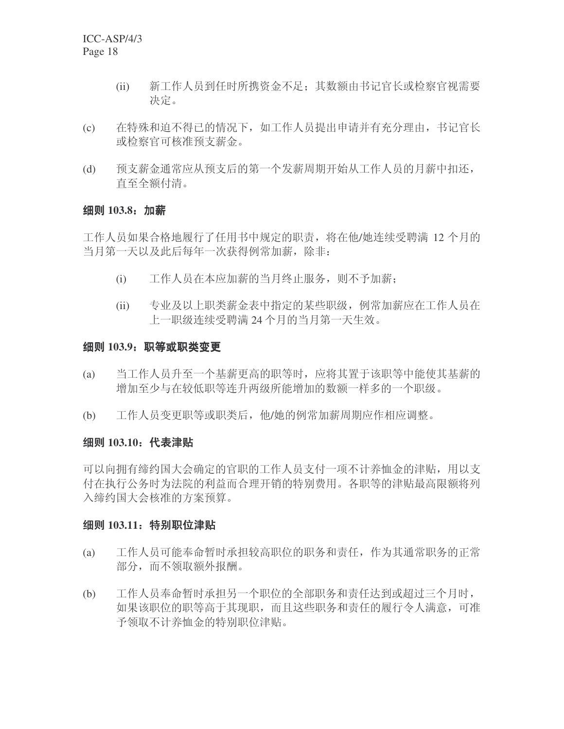- (ii) 新工作人员到任时所携资金不足: 其数额由书记官长或检察官视需要 决定。
- (c) 在特殊和迫不得已的情况下, 如工作人员提出申请并有充分理由, 书记官长 或检察官可核准预支薪金。
- (d) 预支薪金通常应从预支后的第一个发薪周期开始从工作人员的月薪中扣还, 直至全额付清。

#### 细则 103.8: 加薪

工作人员如果合格地履行了任用书中规定的职责, 将在他/她连续受聘满 12 个月的 当月第一天以及此后每年一次获得例常加薪,除非:

- (i) 工作人员在本应加薪的当月终止服务, 则不予加薪;
- (ii) 专业及以上职类薪金表中指定的某些职级, 例常加薪应在工作人员在 上一职级连续受聘满24个月的当月第一天生效。

#### 细则 103.9: 职等或职类变更

- (a) 当工作人员升至一个基薪更高的职等时, 应将其置于该职等中能使其基薪的 增加至少与在较低职等连升两级所能增加的数额一样多的一个职级。
- (b) 工作人员变更职等或职类后, 他/她的例常加薪周期应作相应调整。

# 细则 103.10: 代表津贴

可以向拥有缔约国大会确定的官职的工作人员支付一项不计养恤金的津贴,用以支 付在执行公务时为法院的利益而合理开销的特别费用。各职等的津贴最高限额将列 入缔约国大会核准的方案预算。

# 细则 103.11: 特别职位津贴

- (a) 工作人员可能奉命暂时承担较高职位的职务和责任, 作为其通常职务的正常 部分, 而不领取额外报酬。
- (b) 工作人员奉命暂时承担另一个职位的全部职务和责任达到或超过三个月时, 如果该职位的职等高于其现职,而且这些职务和责任的履行令人满意,可准 予领取不计养恤金的特别职位津贴。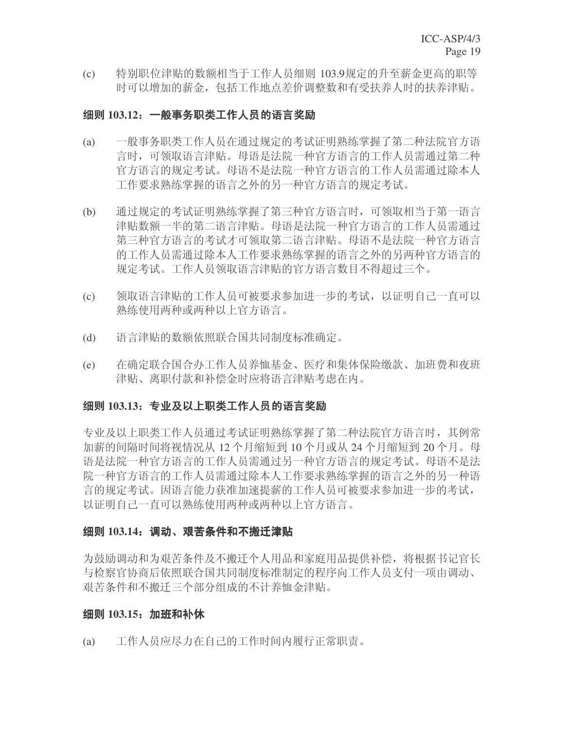(c) 特别职位津贴的数额相当于工作人员细则 103.9规定的升至薪金更高的职等 时可以增加的薪金, 包括工作地点差价调整数和有受扶养人时的扶养津贴。

#### <del>细</del>则 103.12:一般事务职类工作人员的语言奖励

- (a) 一般事务职类工作人员在通过规定的考试证明熟练掌握了第二种法院官方语 言时,可领取语言津贴。母语是法院一种官方语言的工作人员需通过第二种 官方语言的规定考试。母语不是法院一种官方语言的工作人员需通过除本人 工作要求熟练掌握的语言之外的另一种官方语言的规定考试。
- (b) 通过规定的考试证明熟练掌握了第三种官方语言时,可领取相当于第一语言 津贴数额一半的第二语言津贴。母语是法院一种官方语言的工作人员需通过 第三种官方语言的考试才可领取第二语言津贴。母语不是法院一种官方语言 的工作人员需通过除本人工作要求熟练掌握的语言之外的另两种官方语言的 规定考试。工作人员领取语言津贴的官方语言数目不得超过三个。
- (c) 领取语言津贴的工作人员可被要求参加进一步的考试,以证明自己一直可以 熟练使用两种或两种以上官方语言。
- (d) 语言津贴的数额依照联合国共同制度标准确定。
- (e) 在确定联合国合办工作人员养恤基金、医疗和集体保险缴款、加班费和夜班 津贴、离职付款和补偿金时应将语言津贴考虑在内。

#### 细则 103.13: 专业及以上职类工作人员的语言奖励

专业及以上职类工作人员通过考试证明熟练掌握了第二种法院官方语言时,其例常 加薪的间隔时间将视情况从 12 个月缩短到 10 个月或从 24 个月缩短到 20 个月。母 语是法院一种官方语言的邪定考试。母语不是法 院一种官方语言的工作人员需通过除本人工作要求熟练掌握的语言之外的另一种语 言的规定考试。因语言能力获准加速提薪的工作人员可被要求参加进一步的考试, 以证明自己一直可以熟练使用两种或两种以上官方语言。

# 细则 103.14: 调动、艰苦条件和不搬迁津贴

为鼓励调动和为艰苦条件及不搬迁个人用品和家庭用品提供补偿, 将根据书记官长 与检察官协商后依照联合国共同制度标准制定的程序向工作人员支付一项由调动、 艰苦条件和不搬迁三个部分组成的不计养恤金津贴。

#### 细则 103.15; 加班和补休

(a) 工作人员应尽力在自己的工作时间内履行正常职责。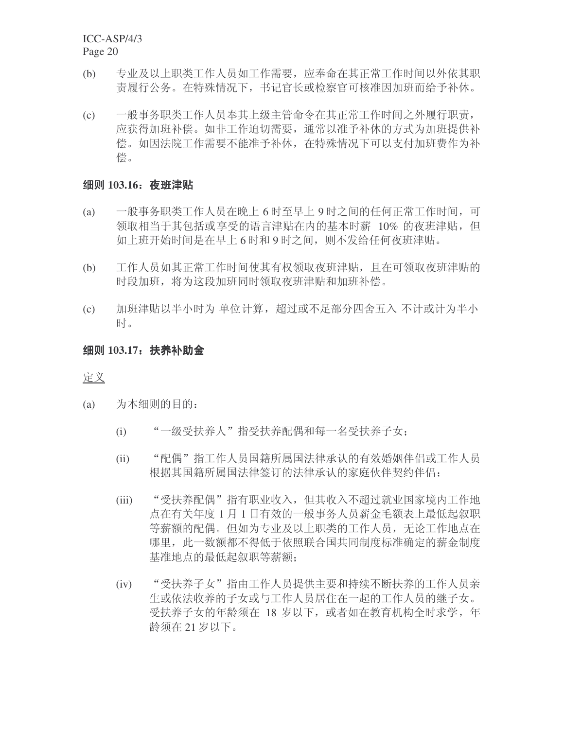- (b) 专业及以上职类工作人员如工作需要, 应奉命在其正常工作时间以外依其职 责履行公务。在特殊情况下, 书记官长或检察官可核准因加班而给予补休。
- (c) 一般事务职类工作人员奉其上级主管命令在其正常工作时间之外履行职责, 应获得加班补偿。如非工作迫切需要, 通常以准予补休的方式为加班提供补 偿。如因法院工作需要不能准予补休, 在特殊情况下可以支付加班费作为补 偿。

# 细则 103.16: 夜班津贴

- (a) 一般事务职类工作人员在晚上 6 时至早上 9 时之间的任何正常工作时间,可 领取相当于其包括或享受的语言津贴在内的基本时薪 10% 的夜班津贴, 但 如上班开始时间是在早上6时和9时之间, 则不发给任何夜班津贴。
- (b) 工作人员如其正常工作时间使其有权领取夜班津贴, 且在可领取夜班津贴的 时段加班, 将为这段加班同时领取夜班津贴和加班补偿。
- (c) 加班津贴以半小时为 单位计算, 超过或不足部分四舍五入 不计或计为半小 时。

# 细则 103.17: 扶养补助金

定义

- (a) 为本细则的目的:
	- (i) "一级受扶养人"指受扶养配偶和每一名受扶养子女:
	- (ii) "配偶"指工作人员国籍所属国法律承认的有效婚姻伴侣或工作人员 根据其国籍所属国法律签订的法律承认的家庭伙伴契约伴侣:
	- (iii) "受扶养配偶"指有职业收入,但其收入不超过就业国家境内工作地 点在有关年度 1 月 1 日有效的一般事务人员薪金毛额表上最低起叙职 等薪额的配偶。但如为专业及以上职类的工作人员, 无论工作地点在 哪里, 此一数额都不得低于依照联合国共同制度标准确定的薪金制度 基准地点的最低起叙职等薪额:
	- (iv) "受扶养子女"指由工作人员提供主要和持续不断扶养的工作人员亲 生或依法收养的子女或与工作人员居住在一起的工作人员的继子女。 受扶养子女的年龄须在 18 岁以下, 或者如在教育机构全时求学, 年 龄须在 21 岁以下。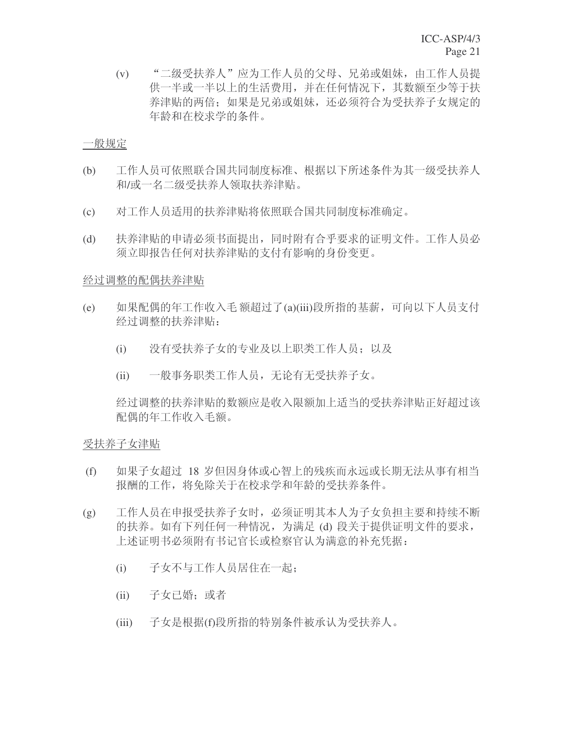(v) "二级受扶养人"应为工作人员的父母、兄弟或姐妹, 由工作人员提 供一半或一半以上的生活费用,并在任何情况下,其数额至少等于扶 养津贴的两倍;如果是兄弟或姐妹,还必须符合为受扶养子女规定的 年龄和在校求学的条件。

#### 一般规定

- (b) 工作人员可依照联合国共同制度标准、根据以下所述条件为其一级受扶养人 和/或一名二级受扶养人领取扶养津贴。
- (c) 对工作人员适用的扶养津贴将依照联合国共同制度标准确定。
- (d) 扶养津贴的申请必须书面提出,同时附有合乎要求的证明文件。工作人员必 须立即报告任何对扶养津贴的支付有影响的身份变更。

#### 经过调整的配偶扶养津贴

- (e) 如果配偶的年工作收入毛额超过了(a)(iii)段所指的基薪,可向以下人员支付 经过调整的扶养津贴:
	- (i) 没有受扶养子女的专业及以上职类工作人员; 以及
	- (ii) 一般事务职类工作人员, 无论有无受扶养子女。

经过调整的扶养津贴的数额应是收入限额加上适当的受扶养津贴正好超过该 配偶的年工作收入毛额。

# 受扶养子女津贴

- (f) 如果子女超过 18 岁但因身体或心智上的残疾而永远或长期无法从事有相当 报酬的工作, 将免除关于在校求学和年龄的受扶养条件。
- (g) 工作人员在申报受扶养子女时, 必须证明其本人为子女负担主要和持续不断 的扶养。如有下列任何一种情况, 为满足(d) 段关于提供证明文件的要求, 上述证明书必须附有书记官长或检察官认为满意的补充凭据:
	- (i) 子女不与工作人员居住在一起:
	- (ii) 子女已婚; 或者
	- (iii) 子女是根据(f)段所指的特别条件被承认为受扶养人。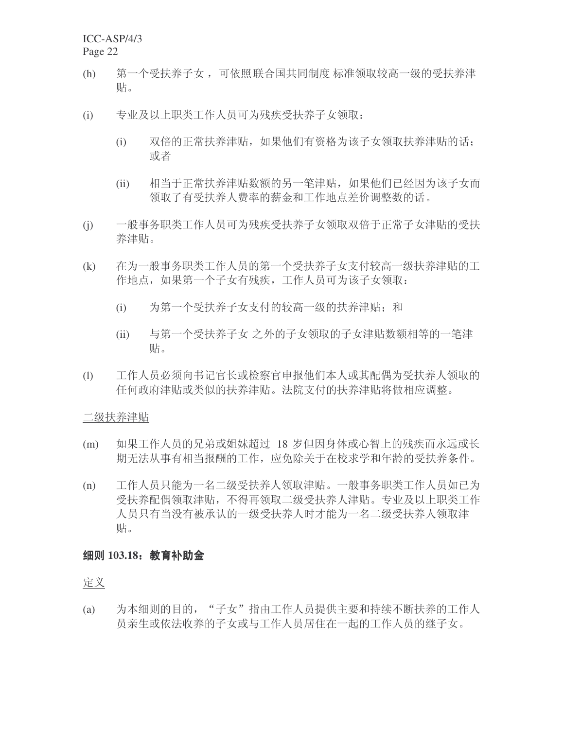- (h) 第一个受扶养子女 ,可依照 联合国共同制度 标准领取较高一级的受扶养津 贴。
- (i) 专业及以上职类工作人员可为残疾受扶养子女领取:
	- (i) 双倍的正常扶养津贴, 如果他们有资格为该子女领取扶养津贴的话; 或者
	- (ii) 相当于正常扶养津贴数额的另一笔津贴, 如果他们已经因为该子女而 领取了有受扶养人费率的薪金和工作地点差价调整数的话。
- (j) 一般事务职类工作人员可为残疾受扶养子女领取双倍于正常子女津贴的受扶 养津贴。
- (k) 在为一般事务职类工作人员的第一个受扶养子女支付较高一级扶养津贴的工 作地点, 如果第一个子女有残疾, 工作人员可为该子女领取:
	- (i) 为第一个受扶养子女支付的较高一级的扶养津贴; 和
	- (ii) 与第一个受扶养子女 之外的子女领取的子女津贴数额相等的一笔津 贴。
- (l) 工作人员必须向书记官长或检察官申报他们本人或其配偶为受扶养人领取的 任何政府津贴或类似的扶养津贴。法院支付的扶养津贴将做相应调整。

二级扶养津贴

- (m) 如果工作人员的兄弟或姐妹超过 18 岁但因身体或心智上的残疾而永远或长 期无法从事有相当报酬的工作, 应免除关于在校求学和年龄的受扶养条件。
- (n) 工作人员只能为一名二级受扶养人领取津贴。一般事务职类工作人员如己为 受扶养配偶领取津贴, 不得再领取二级受扶养人津贴。专业及以上职类工作 人员只有当没有被承认的一级受扶养人时才能为一名二级受扶养人领取津 贴。

#### **细则 103.18: 教育补助金**

定义

(a) 为本细则的目的, "子女"指由工作人员提供主要和持续不断扶养的工作人 员亲生或依法收养的子女或与工作人员居住在一起的工作人员的继子女。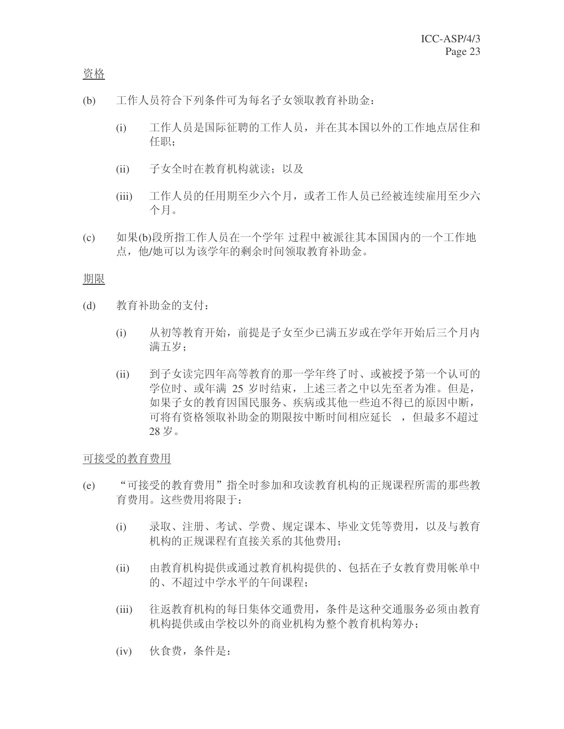资格

- (b) 工作人员符合下列条件可为每名子女领取教育补助金:
	- (i) 工作人员是国际征聘的工作人员, 并在其本国以外的工作地点居住和 任职;
	- (ii) 子女全时在教育机构就读; 以及
	- (iii) 工作人员的任用期至少六个月, 或者工作人员已经被连续雇用至少六 个月。
- (c) 如果(b)段所指工作人员在一个学年 过程中被派往其本国国内的一个工作地 点, 他/她可以为该学年的剩余时间领取教育补助金。

期限

- (d) 教育补助金的支付:
	- (i) 从初等教育开始, 前提是子女至少已满五岁或在学年开始后三个月内 满五岁:
	- (ii) 到子女读完四年高等教育的那一学年终了时、或被授予第一个认可的 学位时、或年满 25 岁时结束, 上述三者之中以先至者为准。但是, 如果子女的教育因国民服务、疾病或其他一些迫不得已的原因中断, 可将有资格领取补助金的期限按中断时间相应延长,,但最多不超过 28 岁。

可接受的教育费用

- (e) "可接受的教育费用"指全时参加和攻读教育机构的正规课程所需的那些教 育费用。这些费用将限于:
	- (i) 录取、注册、考试、学费、规定课本、毕业文凭等费用, 以及与教育 机构的正规课程有直接关系的其他费用:
	- (ii) 由教育机构提供或通过教育机构提供的、包括在子女教育费用帐单中 的、不超过中学水平的午间课程:
	- (iii) 往返教育机构的每日集体交通费用, 条件是这种交通服务必须由教育 机构提供或由学校以外的商业机构为整个教育机构筹办:
	- (iv) 伙食费, 条件是: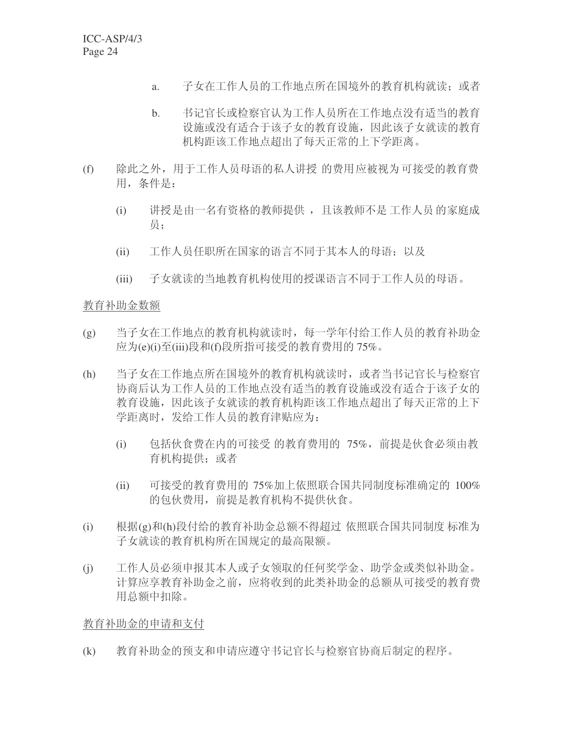- a. 子女在工作人员的工作地点所在国境外的教育机构就读: 或者
- b. 书记官长或检察官认为工作人员所在工作地点没有适当的教育 设施或没有适合于该子女的教育设施,因此该子女就读的教育 机构距该工作地点超出了每天正常的上下学距离。
- (f) 除此之外, 用于工作人员母语的私人讲授 的费用应被视为可接受的教育费 用,条件是:
	- (i) 讲授是由一名有资格的教师提供, 且该教师不是工作人员的家庭成 员:
	- (ii) 工作人员任职所在国家的语言不同于其本人的母语; 以及
	- (iii) 子女就读的当地教育机构使用的授课语言不同于工作人员的母语。

# 教育补助金数额

- (g) 当子女在工作地点的教育机构就读时, 每一学年付给工作人员的教育补助金 应为(e)(i)至(iii)段和(f)段所指可接受的教育费用的 75%。
- (h) 当子女在工作地点所在国境外的教育机构就读时, 或者当书记官长与检察官 协商后认为工作人员的工作地点没有适当的教育设施或没有适合于该子女的 教育设施,因此该子女就读的教育机构距该工作地点超出了每天正常的上下 学距离时,发给工作人员的教育津贴应为:
	- (i) 包括伙食费在内的可接受 的教育费用的 75%, 前提是伙食必须由教 育机构提供: 或者
	- (ii) 可接受的教育费用的 75%加上依照联合国共同制度标准确定的 100% 的包伙费用, 前提是教育机构不提供伙食。
- (i) 根据(g)和(h)段付给的教育补助金总额不得超过 依照联合国共同制度 标准为 子女就读的教育机构所在国规定的最高限额。
- (i) 工作人员必须申报其本人或子女领取的任何奖学金、助学金或类似补助金。 计算应享教育补助金之前, 应将收到的此类补助金的总额从可接受的教育费 用总额中扣除。

教育补助金的申请和支付

(k) 教育补助金的预支和申请应遵守书记官长与检察官协商后制定的程序。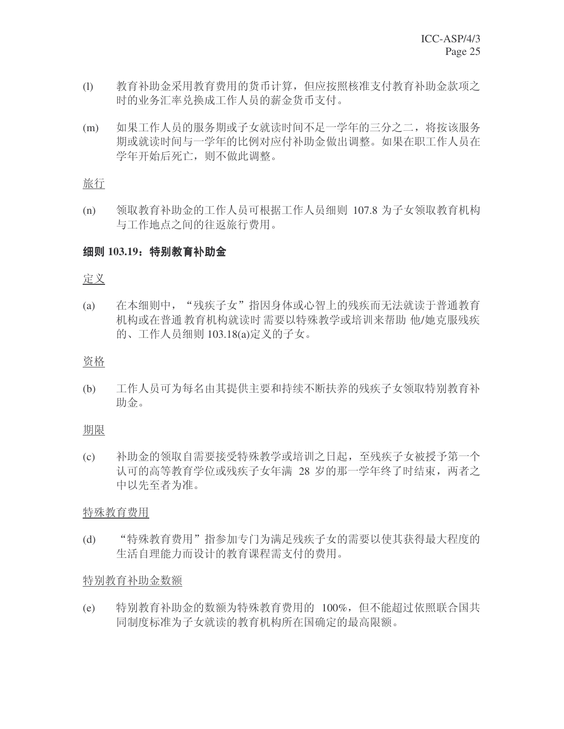- (1) 教育补助金采用教育费用的货币计算,但应按照核准支付教育补助金款项之 时的业务汇率兑换成工作人员的薪金货币支付。
- (m) 如果工作人员的服务期或子女就读时间不足一学年的三分之二, 将按该服务 期或就读时间与一学年的比例对应付补助金做出调整。如果在职工作人员在 学年开始后死亡, 则不做此调整。

旅行

(n) 领取教育补助金的工作人员可根据工作人员细则 107.8 为子女领取教育机构 与工作地点之间的往返旅行费用。

#### 细则 103.19: 特别教育补助金

#### 定义

(a) 在本细则中, "残疾子女"指因身体或心智上的残疾而无法就读于普通教育 机构或在普通教育机构就读时需要以特殊教学或培训来帮助 他/她克服残疾 的、工作人员细则 103.18(a)定义的子女。

#### 资格

(b) 工作人员可为每名由其提供主要和持续不断扶养的残疾子女领取特别教育补 助金。

#### 期限

(c) 补助金的领取自需要接受特殊教学或培训之日起, 至残疾子女被授予第一个 认可的高等教育学位或残疾子女年满 28 岁的那一学年终了时结束, 两者之 中以先至者为准。

#### 特殊教育费用

(d) "特殊教育费用"指参加专门为满足残疾子女的需要以使其获得最大程度的 生活自理能力而设计的教育课程需支付的费用。

#### 特别教育补助金数额

(e) 特别教育补助金的数额为特殊教育费用的 100%, 但不能超过依照联合国共 同制度标准为子女就读的教育机构所在国确定的最高限额。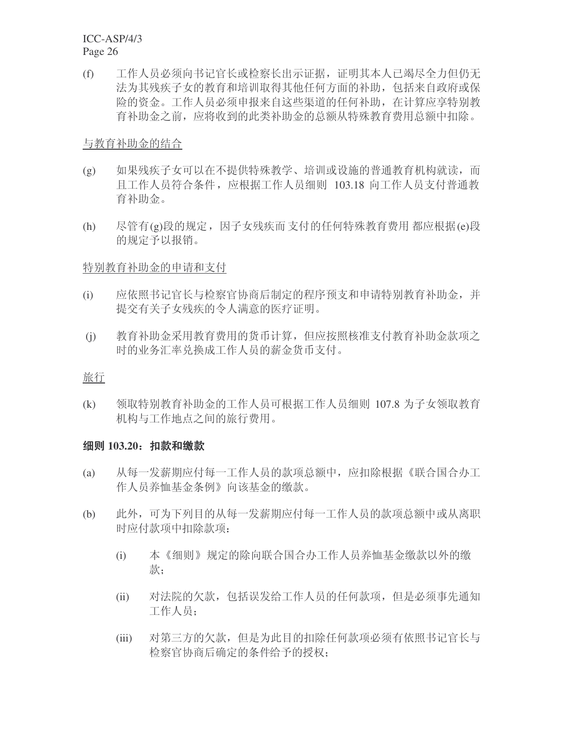(f) 工作人员必须向书记官长或检察长出示证据, 证明其本人已竭尽全力但仍无 法为其残疾子女的教育和培训取得其他任何方面的补助, 包括来自政府或保 险的资金。工作人员必须申报来自这些渠道的任何补助, 在计算应享特别教 育补助金之前, 应将收到的此类补助金的总额从特殊教育费用总额中扣除。

## 与教育补助金的结合

- (g) 如果残疾子女可以在不提供特殊教学、培训或设施的普通教育机构就读, 而 且工作人员符合条件, 应根据工作人员细则 103.18 向工作人员支付普通教 育补助金。
- (h) 尽管有(g)段的规定,因子女残疾而支付的任何特殊教育费用都应根据(e)段 的规定予以报销。

#### 特别教育补助金的申请和支付

- (i) 应依照书记官长与检察官协商后制定的程序预支和申请特别教育补助金,并 提交有关子女残疾的令人满意的医疗证明。
- (i) 教育补助金采用教育费用的货币计算, 但应按照核准支付教育补助金款项之 时的业务汇率兑换成工作人员的薪金货币支付。

#### 旅行

(k) 领取特别教育补助金的工作人员可根据工作人员细则 107.8 为子女领取教育 机构与工作地点之间的旅行费用。

# **细则 103.20: 扣款和缴款**

- (a) 从每一发薪期应付每一工作人员的款项总额中, 应扣除根据《联合国合办工 作人员养恤基金条例》向该基金的缴款。
- (b) 此外, 可为下列目的从每一发薪期应付每一工作人员的款项总额中或从离职 时应付款项中扣除款项:
	- (i) 本《细则》规定的除向联合国合办工作人员养恤基金缴款以外的缴 款:
	- (ii) 对法院的欠款, 包括误发给工作人员的任何款项, 但是必须事先通知 工作人员;
	- (iii) 对第三方的欠款, 但是为此目的扣除任何款项必须有依照书记官长与 检察官协商后确定的条件给予的授权;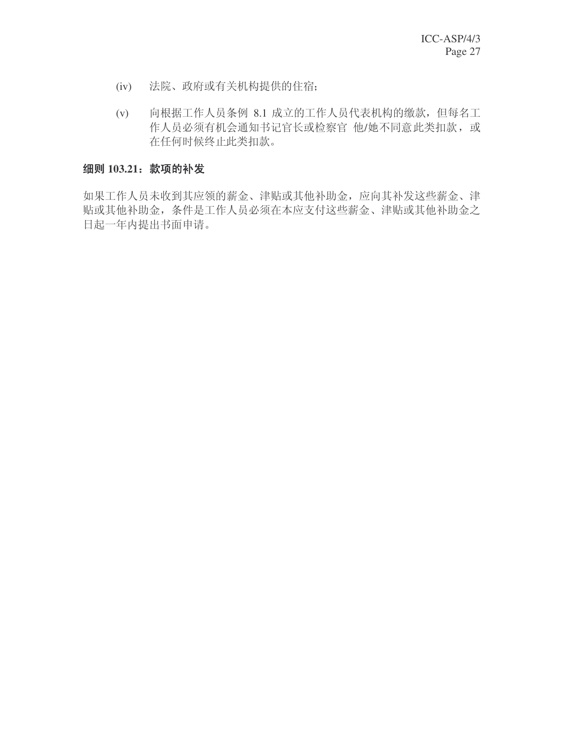- (iv) 法院、政府或有关机构提供的住宿;
- (v) 向根据工作人员条例 8.1 成立的工作人员代表机构的缴款, 但每名工 作人员必须有机会通知书记官长或检察官 他/她不同意此类扣款, 或 在任何时候终止此类扣款。

# 细则 103.21: 款项的补发

如果工作人员未收到其应领的薪金、津贴或其他补助金, 应向其补发这些薪金、津 贴或其他补助金, 条件是工作人员必须在本应支付这些薪金、津贴或其他补助金之 日起一年内提出书面申请。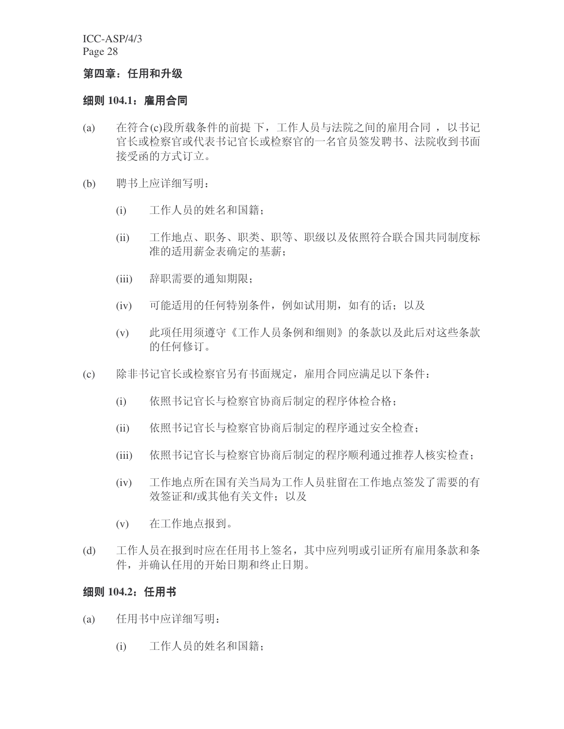#### 第四章: 任用和升级

# 细则 104.1: 雇用合同

- (a) 在符合(c)段所载条件的前提下,工作人员与法院之间的雇用合同,以书记 官长或检察官的一名官员签发聘书、法院收到书面 接受函的方式订立。
- (b) 聘书上应详细写明:
	- (i) 工作人员的姓名和国籍;
	- (ii) 工作地点、职务、职类、职等、职级以及依照符合联合国共同制度标 准的适用薪金表确定的基薪;
	- (iii) 辞职需要的通知期限;
	- (iv) 可能适用的任何特别条件, 例如试用期, 如有的话; 以及
	- (v) 此项任用须遵守《工作人员条例和细则》的条款以及此后对这些条款 的任何修订。
- (c) 除非书记官长或检察官另有书面规定, 雇用合同应满足以下条件:
	- (i) 依照书记官长与检察官协商后制定的程序体检合格;
	- (ii) 依照书记官长与检察官协商后制定的程序通过安全检查;
	- (iii) 依照书记官长与检察官协商后制定的程序顺利通过推荐人核实检查;
	- (iv) 工作地点所在国有关当局为工作人员驻留在工作地点签发了需要的有 效签证和/或其他有关文件; 以及
	- (v) 在工作地点报到。
- (d) 工作人员在报到时应在任用书上签名, 其中应列明或引证所有雇用条款和条 件,并确认任用的开始日期和终止日期。

# 细则 104.2: 任用书

- (a) 任用书中应详细写明:
	- (i) 工作人员的姓名和国籍: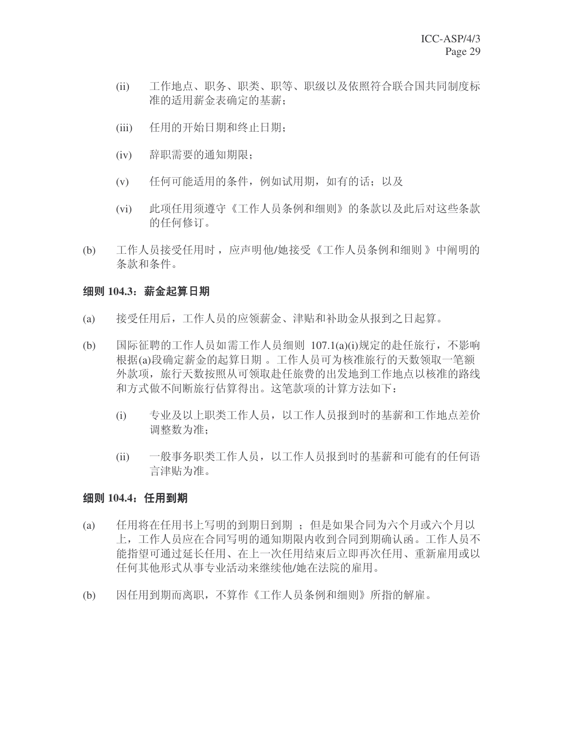- (ii) 工作地点、职务、职类、职等、职级以及依照符合联合国共同制度标 准的适用薪金表确定的基薪:
- (iii) 任用的开始日期和终止日期:
- (iv) 辞职需要的通知期限;
- (v) 任何可能适用的条件, 例如试用期, 如有的话; 以及
- (vi) 此项任用须遵守《工作人员条例和细则》的条款以及此后对这些条款 的任何修订。
- (b) 工作人员接受任用时, 应声明他/她接受《工作人员条例和细则》中阐明的 条款和条件。

# 细则 104.3: 薪金起算日期

- (a) 接受任用后, 工作人员的应领薪金、津贴和补助金从报到之日起算。
- (b) 国际征聘的工作人员如需工作人员细则 107.1(a)(i)规定的赴任旅行, 不影响 根据(a)段确定薪金的起算日期。工作人员可为核准旅行的天数领取一笔额 外款项,旅行天数按照从可领取赴任旅费的出发地到工作地点以核准的路线 和方式做不间断旅行估算得出。这笔款项的计算方法如下:
	- (i) 专业及以上职类工作人员, 以工作人员报到时的基薪和工作地点差价 调整数为准:
	- (ii) 一般事务职类工作人员, 以工作人员报到时的基薪和可能有的任何语 言津贴为准。

# 细则 104.4: 任用到期

- (a) 任用将在任用书上写明的到期日到期; 但是如果合同为六个月或六个月以 上,工作人员应在合同写明的通知期限内收到合同到期确认函。工作人员不 能指望可通过延长任用、在上一次任用结束后立即再次任用、重新雇用或以 任何其他形式从事专业活动来继续他/她在法院的雇用。
- (b) 因任用到期而离职,不算作《工作人员条例和细则》所指的解雇。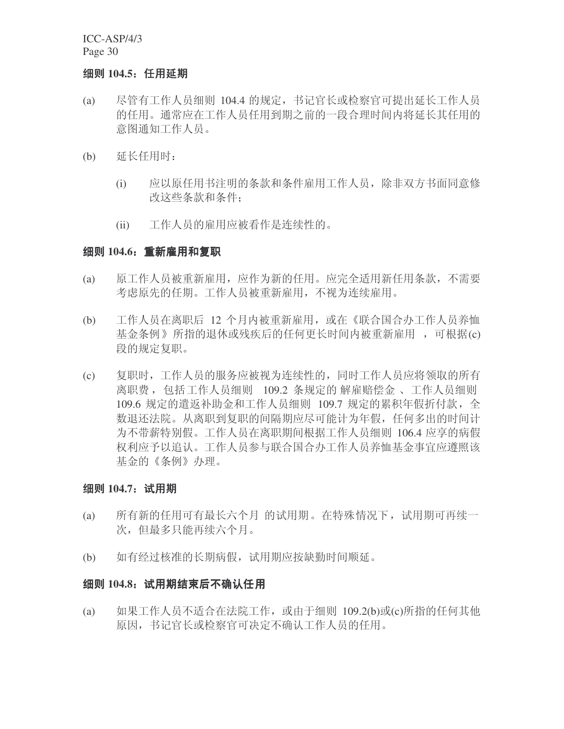#### 细则 104.5: 任用延期

- (a) 尽管有工作人员细则 104.4 的规定, 书记官长或检察官可提出延长工作人员 的任用。通常应在工作人员任用到期之前的一段合理时间内将延长其任用的 意图通知工作人员。
- (b) 延长任用时:
	- (i) 应以原任用书注明的条款和条件雇用工作人员, 除非双方书面同意修 改这些条款和条件:
	- (ii) 工作人员的雇用应被看作是连续性的。

#### **细则 104.6: 重新雇用和复职**

- (a) 原工作人员被重新雇用, 应作为新的任用。应完全适用新任用条款, 不需要 考虑原先的任期。工作人员被重新雇用, 不视为连续雇用。
- (b) 工作人员在离职后 12 个月内被重新雇用, 或在《联合国合办工作人员养恤 基金条例》所指的退休或残疾后的任何更长时间内被重新雇用,可根据(c) 段的规定复职。
- (c) 复职时,工作人员的服务应被视为连续性的,同时工作人员应将领取的所有 离职费, 包括工作人员细则 109.2 条规定的 解雇赔偿金、工作人员细则 109.6 规定的遣返补助金和工作人员细则 109.7 规定的累积年假折付款, 全 数退还法院。从离职到复职的间隔期应尽可能计为年假, 任何多出的时间计 为不带薪特别假。工作人员在离职期间根据工作人员细则 106.4 应享的病假 权利应予以追认。工作人员参与联合国合办工作人员养恤基金事宜应遵照该 基金的《条例》办理。

#### 细则 104.7: 试用期

- (a) 所有新的任用可有最长六个月 的试用期。在特殊情况下, 试用期可再续一 次, 但最多只能再续六个月。
- (b) 如有经过核准的长期病假, 试用期应按缺勤时间顺延。

#### 纽则 104.8:试用期结束后不确认任用

(a) 如果工作人员不适合在法院工作, 或由于细则 109.2(b)或(c)所指的任何其他 原因, 书记官长或检察官可决定不确认工作人员的任用。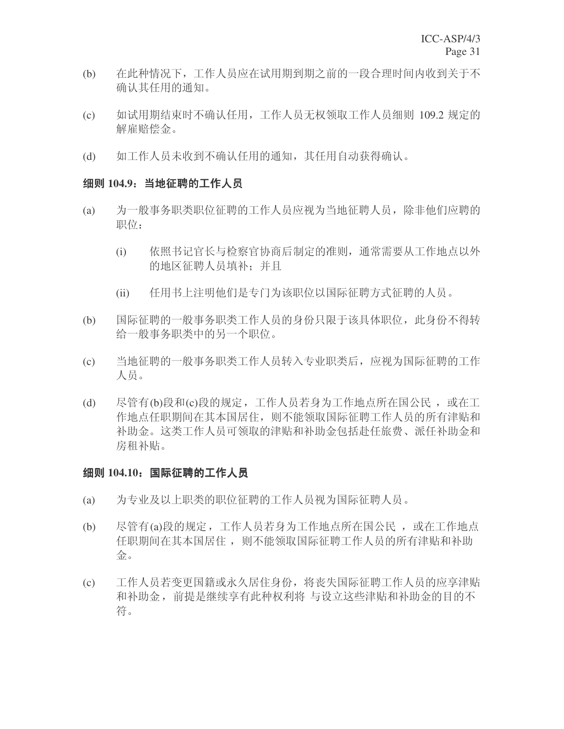- (b) 在此种情况下,工作人员应在试用期到期之前的一段合理时间内收到关于不 确认其任用的通知。
- (c) 如试用期结束时不确认任用, 工作人员无权领取工作人员细则 109.2 规定的 解雇赔偿金。
- (d) 如工作人员未收到不确认任用的通知, 其任用自动获得确认。

#### 细则 104.9: 当地征聘的工作人员

- (a) 为一般事务职类职位征聘的工作人员应视为当地征聘人员,除非他们应聘的 职位:
	- (i) 依照书记官长与检察官协商后制定的准则, 通常需要从工作地点以外 的地区征聘人员填补: 并且
	- (ii) 任用书上注明他们是专门为该职位以国际征聘方式征聘的人员。
- (b) 国际征聘的一般事务职类工作人员的身份只限于该具体职位, 此身份不得转 给一般事务职类中的另一个职位。
- (c) 当地征聘的一般事务职类工作人员转入专业职类后, 应视为国际征聘的工作 人员。
- (d) 尽管有(b)段和(c)段的规定,工作人员若身为工作地点所在国公民,或在工 作地点任职期间在其本国居住, 则不能领取国际征聘工作人员的所有津贴和 补助金。这类工作人员可领取的津贴和补助金包括赴任旅费、派任补助金和 房租补贴。

# 细则 104.10: 国际征聘的工作人员

- (a) 为专业及以上职类的职位征聘的工作人员视为国际征聘人员。
- (b) 尽管有(a)段的规定,工作人员若身为工作地点所在国公民,或在工作地点 任职期间在其本国居住, 则不能领取国际征聘工作人员的所有津贴和补助 金。
- (c) 工作人员若变更国籍或永久居住身份, 将丧失国际征聘工作人员的应享津贴 和补助金, 前提是继续享有此种权利将 与设立这些津贴和补助金的目的不 符。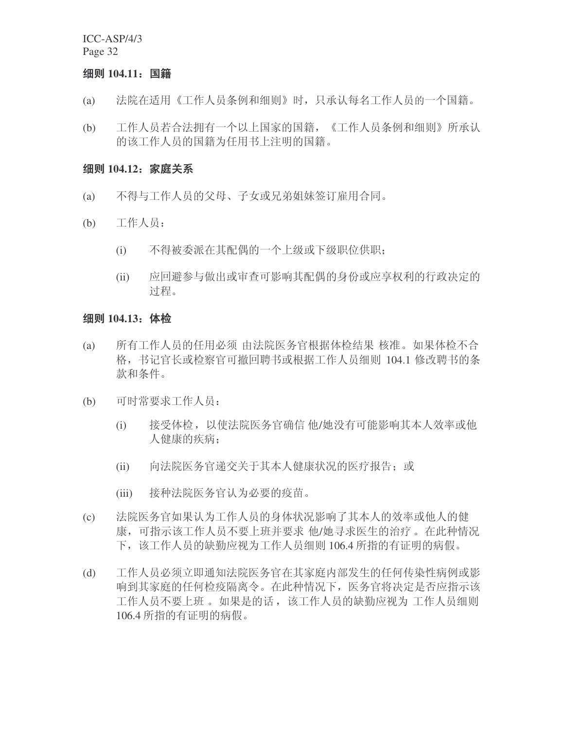#### 细则 104.11: 国籍

- (a) 法院在适用《工作人员条例和细则》时,只承认每名工作人员的一个国籍。
- (b) 工作人员若合法拥有一个以上国家的国籍, 《工作人员条例和细则》所承认 的该工作人员的国籍为任用书上注明的国籍。

#### **细则 104.12**: 家庭关系

- (a) 不得与工作人员的父母、子女或兄弟姐妹签订雇用合同。
- (b) 工作人员:
	- (i) 不得被委派在其配偶的一个上级或下级职位供职;
	- (ii) 应回避参与做出或审查可影响其配偶的身份或应享权利的行政决定的 过程。

#### 细则 104.13: 体检

- (a) 所有工作人员的任用必须 由法院医务官根据体检结果 核准。如果体检不合 格, 书记官长或检察官可撤回聘书或根据工作人员细则 104.1 修改聘书的条 款和条件。
- (b) 可时常要求工作人员:
	- (i) 接受体检, 以使法院医务官确信 他/她没有可能影响其本人效率或他 人健康的疾病:
	- (ii) 向法院医务官递交关于其本人健康状况的医疗报告; 或
	- (iii) 接种法院医务官认为必要的疫苗。
- (c) 法院医务官如果认为工作人员的身体状况影响了其本人的效率或他人的健 康, 可指示该工作人员不要上班并要求 他/她寻求医生的治疗。在此种情况 下, 该工作人员的缺勤应视为工作人员细则 106.4 所指的有证明的病假。
- (d) 工作人员必须立即通知法院医务官在其家庭内部发生的任何传染性病例或影 响到其家庭的任何检疫隔离令。在此种情况下, 医务官将决定是否应指示该 工作人员不要上班 。如果是的话,该工作人员的缺勤应视为 工作人员细则 106.4 所指的有证明的病假。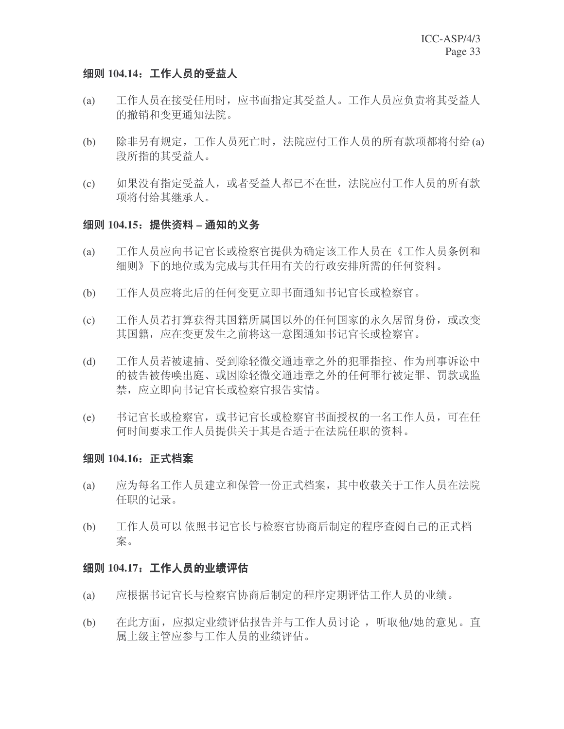# 细则 104.14; 工作人员的受益人

- (a) 工作人员在接受任用时, 应书面指定其受益人。工作人员应负责将其受益人 的撤销和变更通知法院。
- (b) 除非另有规定,工作人员死亡时,法院应付工作人员的所有款项都将付给(a) 段所指的其受益人。
- (c) 如果没有指定受益人,或者受益人都已不在世, 法院应付工作人员的所有款 项将付给其继承人。

#### 组则 104.15: 提供资料 - 通知的义务

- (a) 工作人员应向书记官长或检察官提供为确定该工作人员在《工作人员条例和 细则》下的地位或为完成与其任用有关的行政安排所需的任何资料。
- (b) 工作人员应将此后的任何变更立即书面通知书记官长或检察官。
- (c) 工作人员若打算获得其国籍所属国以外的任何国家的永久居留身份, 或改变 其国籍, 应在变更发生之前将这一意图通知书记官长或检察官。
- (d) 工作人员若被逮捕、受到除轻微交通违章之外的犯罪指控、作为刑事诉讼中 的被告被传唤出庭、或因除轻微交通违章之外的任何罪行被定罪、罚款或监 禁, 应立即向书记官长或检察官报告实情。
- (e) 书记官长或检察官长或检察官书面授权的一名工作人员,可在任 何时间要求工作人员提供关于其是否适于在法院任职的资料。

# 细则 104.16: 正式档案

- (a) 应为每名工作人员建立和保管一份正式档案,其中收载关于工作人员在法院 任职的记录。
- (b) 工作人员可以依照书记官长与检察官协商后制定的程序查阅自己的正式档 案。

#### 细则 104.17: 工作人员的业绩评估

- (a) 应根据书记官长与检察官协商后制定的程序定期评估工作人员的业绩。
- (b) 在此方面, 应拟定业绩评估报告并与工作人员讨论, 听取他/她的意见。直 属上级主管应参与工作人员的业绩评估。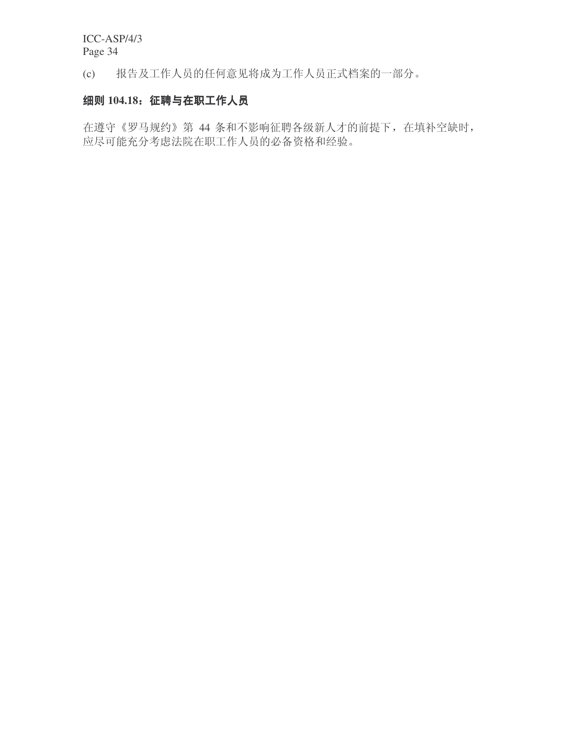(c) 报告及工作人员的任何意见将成为工作人员正式档案的一部分。

# 细则 104.18: 征聘与在职工作人员

在遵守《罗马规约》第 44 条和不影响征聘各级新人才的前提下, 在填补空缺时, 应尽可能充分考虑法院在职工作人员的必备资格和经验。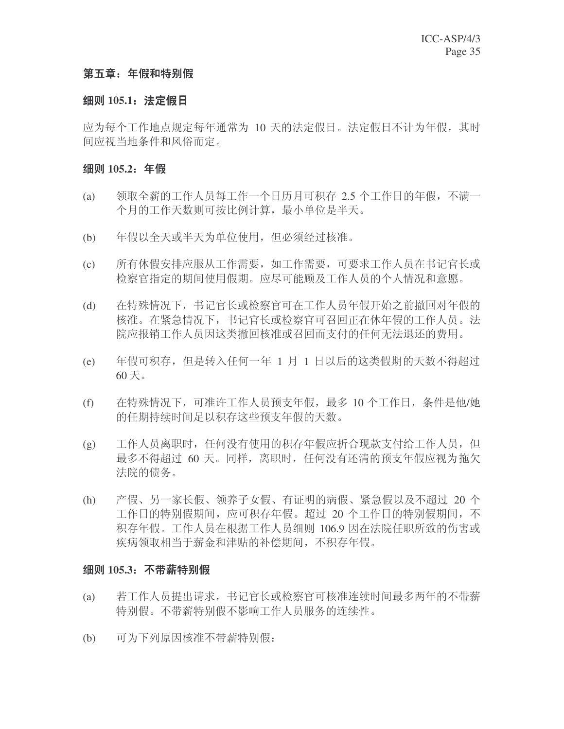# 第五章: 年假和特别假

# 细则 105.1: 法定假日

应为每个工作地点规定每年通常为 10 天的法定假日。法定假日不计为年假, 其时 间应视当地条件和风俗而定。

# 细则 105.2: 年假

- (a) 领取全薪的工作人员每工作一个日历月可积存 2.5 个工作日的年假, 不满一 个月的工作天数则可按比例计算, 最小单位是半天。
- (b) 年假以全天或半天为单位使用, 但必须经过核准。
- (c) 所有休假安排应服从工作需要,如工作需要,可要求工作人员在书记官长或 检察官指定的期间使用假期。应尽可能顾及工作人员的个人情况和意愿。
- (d) 在特殊情况下, 书记官长或检察官可在工作人员年假开始之前撤回对年假的 核准。在紧急情况下, 书记官长或检察官可召回正在休年假的工作人员。法 院应报销工作人员因这类撤回核准或召回而支付的任何无法退还的费用。
- (e) 年假可积存, 但是转入任何一年 1 月 1 日以后的这类假期的天数不得超过  $60 \times$ 。
- (f) 在特殊情况下,可准许工作人员预支年假,最多 10 个工作日,条件是他/她 的任期持续时间足以积存这些预支年假的天数。
- (g) 工作人员离职时, 任何没有使用的积存年假应折合现款支付给工作人员, 但 最多不得超过 60 天。同样,离职时,任何没有还清的预支年假应视为拖欠 法院的债务。
- (h) 产假、另一家长假、领养子女假、有证明的病假、紧急假以及不超过 20 个 工作日的特别假期间, 应可积存年假。超过 20 个工作日的特别假期间, 不 积存年假。工作人员在根据工作人员细则 106.9 因在法院任职所致的伤害或 疾病领取相当于薪金和津贴的补偿期间,不积存年假。

# 细则 105.3: 不带薪特别假

- (a) 若工作人员提出请求, 书记官长或检察官可核准连续时间最多两年的不带薪 特别假不影响工作人员服务的连续性。
- (b) 可为下列原因核准不带薪特别假: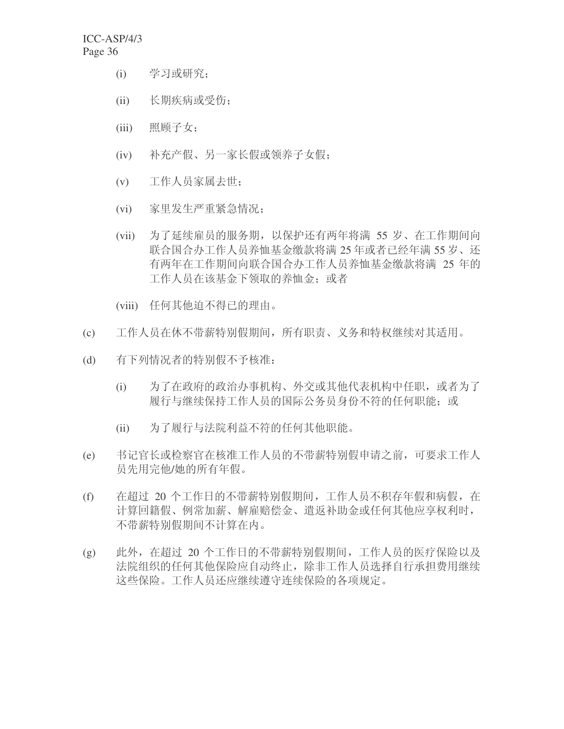- (i) 学习或研究;
- (ii) 长期疾病或受伤;
- (iii) 照顾子女:
- (iv) 补充产假、另一家长假或领养子女假;
- (v) 工作人员家属去世;
- (vi) 家里发生严重紧急情况;
- (vii) 为了延续雇员的服务期, 以保护还有两年将满 55 岁、在工作期间向 联合国合办工作人员养恤基金缴款将满 25 年或者已经年满 55 岁、还 有两年在工作期间向联合国合办工作人员养恤基金缴款将满 25 年的 工作人员在该基金下领取的养恤金; 或者
- (viii) 任何其他迫不得已的理由。
- (c) 工作人员在休不带薪特别假期间,所有职责、义务和特权继续对其适用。
- (d) 有下列情况者的特别假不予核准:
	- (i) 为了在政府的政治办事机构、外交或其他代表机构中任职, 或者为了 履行与继续保持工作人员的国际公务员身份不符的任何职能;或
	- (ii) 为了履行与法院利益不符的任何其他职能。
- (e) 书记官长或检察官在核准工作人员的不带薪特别假申请之前,可要求工作人 员先用完他/她的所有年假。
- (f) 在超过 20 个工作日的不带薪特别假期间, 工作人员不积存年假和病假, 在 计算回籍假、例常加薪、解雇赔偿金、遣返补助金或任何其他应享权利时, 不带薪特别假期间不计算在内。
- (g) 此外, 在超过 20 个工作日的不带薪特别假期间, 工作人员的医疗保险以及 法院组织的任何其他保险应自动终止, 除非工作人员选择自行承担费用继续 这些保险。工作人员还应继续遵守连续保险的各项规定。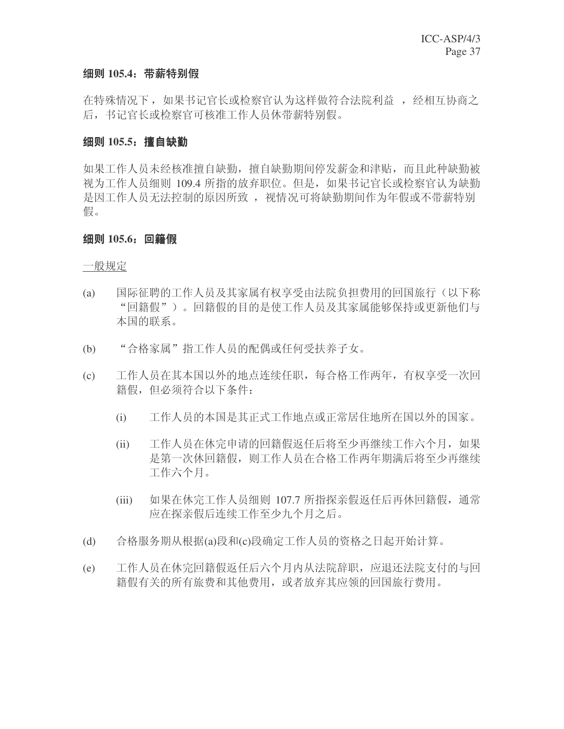### 细则 105.4: 带薪特别假

在特殊情况下, 如果书记官长或检察官认为这样做符合法院利益, 好经相互协商之 后, 书记官长或检察官可核准工作人员休带薪特别假。

### **细则 105.5: 擅自缺勤**

如果工作人员未经核准擅自缺勤, 擅自缺勤期间停发薪金和津贴, 而且此种缺勤被 视为工作人员细则 109.4 所指的放弃职位。但是, 如果书记官长或检察官认为缺勤 是因工作人员无法控制的原因所致, 视情况可将缺勤期间作为年假或不带薪特别 假。

### 细则 105.6: 回籍假

一般规定

- (a) 国际征聘的工作人员及其家属有权享受由法院负担费用的回国旅行(以下称 "回籍假")。回籍假的目的是使工作人员及其家属能够保持或更新他们与 本国的联系。
- (b) "合格家属"指工作人员的配偶或任何受扶养子女。
- (c) 工作人员在其本国以外的地点连续任职, 每合格工作两年, 有权享受一次回 籍假,但必须符合以下条件:
	- (i) 工作人员的本国是其正式工作地点或正常居住地所在国以外的国家。
	- (ii) 工作人员在休完申请的回籍假返任后将至少再继续工作六个月, 如果 是第一次休回籍假,则工作人员在合格工作两年期满后将至少再继续 工作六个月。
	- (iii) 如果在休完工作人员细则 107.7 所指探亲假返任后再休回籍假, 通常 应在探亲假后连续工作至少九个月之后。
- (d) 合格服务期从根据(a)段和(c)段确定工作人员的资格之日起开始计算。
- (e) 工作人员在休完回籍假返任后六个月内从法院辞职, 应退还法院支付的与回 籍假有关的所有旅费和其他费用, 或者放弃其应领的回国旅行费用。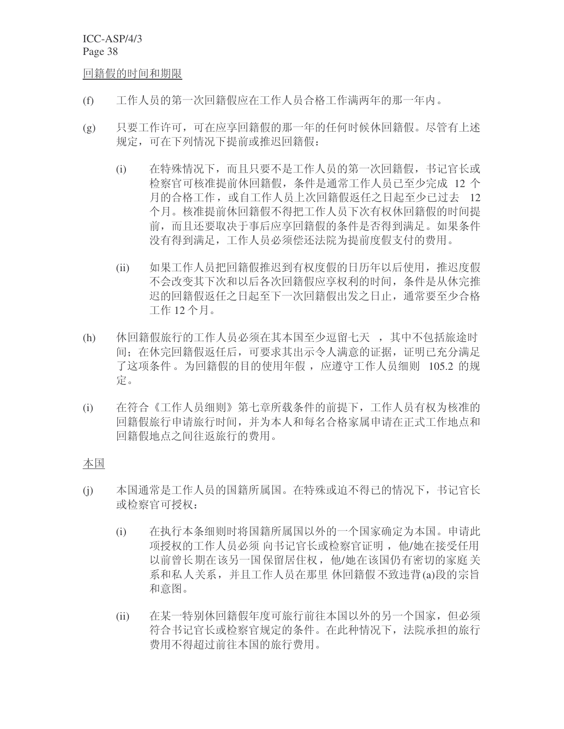回籍假的时间和期限

- (f) 工作人员的第一次回籍假应在工作人员合格工作满两年的那一年内。
- (g) 只要工作许可,可在应享回籍假的那一年的任何时候休回籍假。尽管有上述 规定,可在下列情况下提前或推迟回籍假:
	- (i) 在特殊情况下,而且只要不是工作人员的第一次回籍假,书记官长或 检察官可核准提前休回籍假, 条件是通常工作人员已至少完成 12 个 月的合格工作, 或自工作人员上次回籍假返任之日起至少已过去 12 个月。核准提前休回籍假不得把工作人员下次有权休回籍假的时间提 前,而且还要取决于事后应享回籍假的条件是否得到满足。如果条件 没有得到满足,工作人员必须偿还法院为提前度假支付的费用。
	- (ii) 如果工作人员把回籍假推迟到有权度假的日历年以后使用, 推迟度假 不会改变其下次和以后各次回籍假应享权利的时间, 条件是从休完推 迟的回籍假返任之日起至下一次回籍假出发之日止, 通常要至少合格 工作 12 个月。
- (h) 休回籍假旅行的工作人员必须在其本国至少逗留七天, 其中不包括旅途时 间: 在休完回籍假返任后, 可要求其出示令人满意的证据, 证明已充分满足 了这项条件。为回籍假的目的使用年假, 应遵守工作人员细则 105.2 的规 定。
- (i) 在符合《工作人员细则》第七章所载条件的前提下,工作人员有权为核准的 回籍假旅行申请旅行时间, 并为本人和每名合格家属申请在正式工作地点和 回籍假地点之间往返旅行的费用。

### 本国

- (j) 本国通常是工作人员的国籍所属国。在特殊或迫不得已的情况下, 书记官长 或检察官可授权:
	- (i) 在执行本条细则时将国籍所属国以外的一个国家确定为本国。申请此 项授权的工作人员必须 向书记官长或检察官证明, 他/她在接受任用 以前曾长期在该另一国保留居住权, 他/她在该国仍有密切的家庭关 系和私人关系, 并且工作人员在那里 休回籍假不致违背(a)段的宗旨 和意图。
	- (ii) 在某一特别休回籍假年度可旅行前往本国以外的另一个国家, 但必须 符合书记官长或检察官规定的条件。在此种情况下, 法院承担的旅行 费用不得超过前往本国的旅行费用。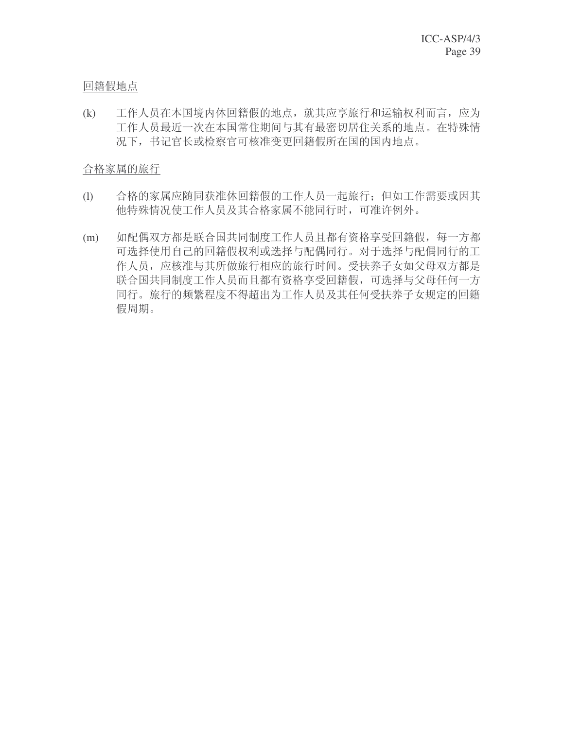## 回籍假地点

(k) 工作人员在本国境内休回籍假的地点, 就其应享旅行和运输权利而言, 应为 工作人员最近一次在本国常住期间与其有最密切居住关系的地点。在特殊情 况下,书记官长或检察官可核准变更回籍假所在国的国内地点。

## 合格家属的旅行

- (l) 合格的家属应随同获准休回籍假的工作人员一起旅行;但如工作需要或因其 他特殊情况使工作人员及其合格家属不能同行时,可准许例外。
- (m) 如配偶双方都是联合国共同制度工作人员且都有资格享受回籍假, 每一方都 可选择使用自己的回籍假权利或选择与配偶同行。对于选择与配偶同行的工 作人员, 应核准与其所做旅行相应的旅行时间。受扶养子女如父母双方都是 联合国共同制度工作人员而且都有资格享受回籍假,可选择与父母任何一方 同行。旅行的频繁程度不得超出为工作人员及其任何受扶养子女规定的回籍 假周期。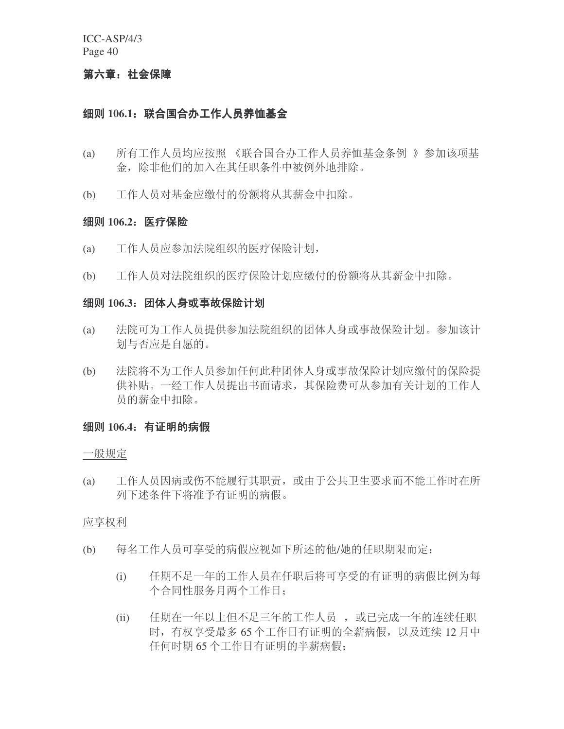### 第六章: 社会保障

## 细则 106.1: 联合国合办工作人员养恤基金

- (a) 所有工作人员均应按照 《联合国合办工作人员养恤基金条例 》参加该项基 金, 除非他们的加入在其任职条件中被例外地排除。
- (b) 工作人员对基金应缴付的份额将从其薪金中扣除。

#### 细则 106.2: 医疗保险

- (a) 工作人员应参加法院组织的医疗保险计划,
- (b) 工作人员对法院组织的医疗保险计划应缴付的份额将从其薪金中扣除。

#### <del>细</del>则 106.3: 团体人身或事故保险计划

- (a) 法院可为工作人员提供参加法院组织的团体人身或事故保险计划。参加该计 划与否应是自愿的。
- (b) 法院将不为工作人员参加任何此种团体人身或事故保险计划应缴付的保险提 供补贴。一经工作人员提出书面请求, 其保险费可从参加有关计划的工作人 员的薪金中扣除。

### 细则 106.4: 有证明的病假

#### 一般规定

(a) 工作人员因病或伤不能履行其职责,或由于公共卫生要求而不能工作时在所 列下述条件下将准予有证明的病假。

#### 应享权利

- (b) 每名工作人员可享受的病假应视如下所述的他/她的任职期限而定:
	- (i) 任期不足一年的工作人员在任职后将可享受的有证明的病假比例为每 个合同性服务月两个工作日:
	- (ii) 任期在一年以上但不足三年的工作人员,或已完成一年的连续任职 时, 有权享受最多 65 个工作日有证明的全薪病假, 以及连续 12 月中 任何时期 65 个工作日有证明的半薪病假: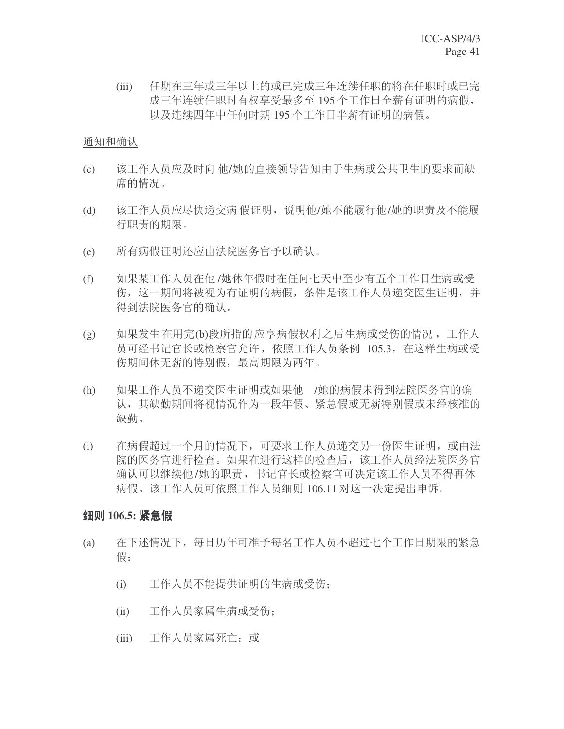(iii) 任期在三年或三年以上的或已完成三年连续任职的将在任职时或已完 成三年连续任职时有权享受最多至195个工作日全薪有证明的病假, 以及连续四年中任何时期195个工作日半薪有证明的病假。

### 通知和确认

- (c) 该工作人员应及时向 他/她的直接领导告知由于生病或公共卫生的要求而缺 席的情况。
- (d) 该工作人员应尽快递交病 假证明,说明他/她不能履行他/她的职责及不能履 行职责的期限。
- (e) 所有病假证明还应由法院医务官予以确认。
- (f) 如果某工作人员在他/她休年假时在任何七天中至少有五个工作日生病或受 伤, 这一期间将被视为有证明的病假, 条件是该工作人员递交医生证明, 并 得到法院医务官的确认。
- (g) 如果发生在用完(b)段所指的应享病假权利之后生病或受伤的情况,工作人 员可经书记官长或检察官允许, 依照工作人员条例 105.3, 在这样生病或受 伤期间休无薪的特别假, 最高期限为两年。
- (h) 如果工作人员不递交医生证明或如果他 /她的病假未得到法院医务官的确 认, 其缺勤期间将视情况作为一段年假、紧急假或无薪特别假或未经核准的 缺勤。
- (i) 在病假超过一个月的情况下,可要求工作人员递交另一份医生证明, 或由法 院的医务官进行检查。如果在进行这样的检查后, 该工作人员经法院医务官 确认可以继续他/她的职责, 书记官长或检察官可决定该工作人员不得再休 病假。该工作人员可依照工作人员细则 106.11 对这一决定提出申诉。

## 细则 106.5: 紧急假

- (a) 在下述情况下,每日历年可准予每名工作人员不超过七个工作日期限的紧急 假:
	- (i) 工作人员不能提供证明的生病或受伤;
	- (ii) 工作人员家属生病或受伤;
	- (iii) 工作人员家属死亡; 或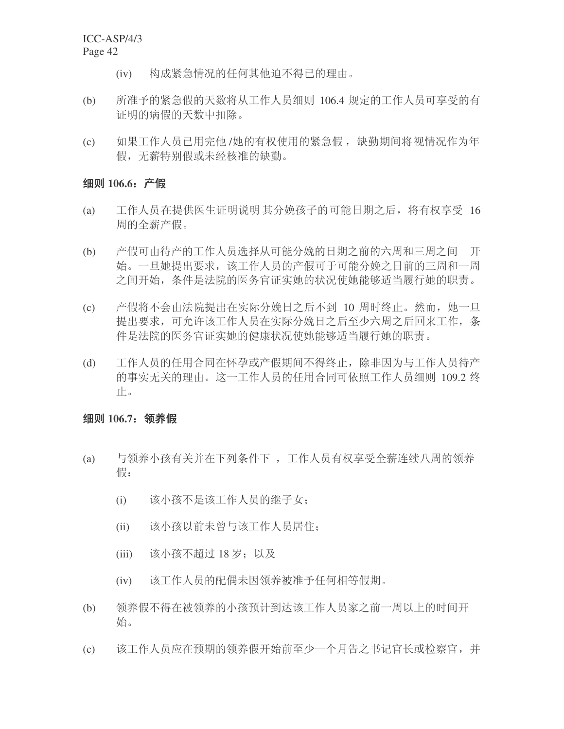- (iv) 构成紧急情况的任何其他迫不得已的理由。
- (b) 所准予的紧急假的天数将从工作人员细则 106.4 规定的工作人员可享受的有 证明的病假的天数中扣除。
- (c) 如果工作人员已用完他 /她的有权使用的紧急假, 缺勤期间将视情况作为年 假,无薪特别假或未经核准的缺勤。

### 细则 106.6: 产假

- (a) 工作人员在提供医生证明说明 其分娩孩子的可能日期之后, 将有权享受 16 周的全薪产假。
- (b) 产假可由待产的工作人员选择从可能分娩的日期之前的六周和三周之间 开 始。一旦她提出要求,该工作人员的产假可于可能分娩之日前的三周和一周 之间开始,条件是法院的医务官证实她的状况使她能够适当履行她的职责。
- (c) 产假将不会由法院提出在实际分娩日之后不到 10 周时终止。然而,她一旦 提出要求,可允许该工作人员在实际分娩日之后至少六周之后回来工作,条 件是法院的医务官证实她的健康状况使她能够适当履行她的职责。
- (d) 工作人员的任用合同在怀孕或产假期间不得终止, 除非因为与工作人员待产 的事实无关的理由。这一工作人员的任用合同可依照工作人员细则 109.2 终 止。

### 细则 106.7: 领养假

- (a) 与领养小孩有关并在下列条件下 ,工作人员有权享受全薪连续八周的领养 假:
	- (i) 该小孩不是该工作人员的继子女:
	- (ii) 该小孩以前未曾与该工作人员居住;
	- (iii) 该小孩不超过 18 岁; 以及
	- (iv) 该工作人员的配偶未因领养被准予任何相等假期。
- (b) 领养假不得在被领养的小孩预计到达该工作人员家之前一周以上的时间开 始。
- (c) 该工作人员应在预期的领养假开始前至少一个月告之书记官长或检察官, 并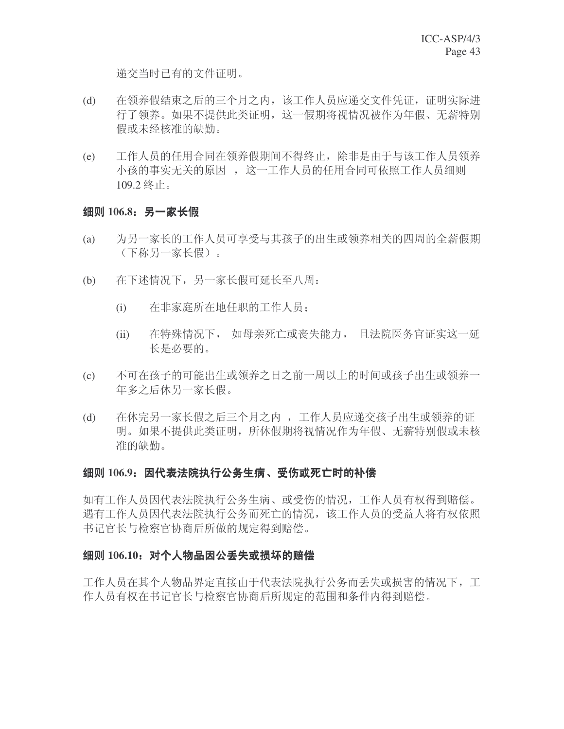递交当时已有的文件证明。

- (d) 在领养假结束之后的三个月之内, 该工作人员应递交文件凭证, 证明实际进 行了领养。如果不提供此类证明, 这一假期将视情况被作为年假、无薪特别 假或未经核准的缺勤。
- (e) 工作人员的任用合同在领养假期间不得终止, 除非是由于与该工作人员领养 小孩的事实无关的原因, 这一工作人员的任用合同可依照工作人员细则  $109.2$  终止。

#### 细则 106.8: 另一家长假

- (a) 为另一家长的工作人员可享受与其孩子的出生或领养相关的四周的全薪假期 (下称另一家长假)。
- (b) 在下述情况下,另一家长假可延长至八周:
	- (i) 在非家庭所在地任职的工作人员;
	- (ii) 在特殊情况下, 如母亲死亡或丧失能力, 且法院医务官证实这一延 长是必要的。
- (c) 不可在孩子的可能出生或领养之日之前一周以上的时间或孩子出生或领养一 年多之后休另一家长假。
- (d) 在休完另一家长假之后三个月之内, 工作人员应递交孩子出生或领养的证 明。如果不提供此类证明, 所休假期将视情况作为年假、无薪特别假或未核 准的缺勤。

### 细则 106.9: 因代表法院执行公务生病、受伤或死亡时的补偿

如有工作人员因代表法院执行公务生病、或受伤的情况,工作人员有权得到赔偿。 遇有工作人员因代表法院执行公务而死亡的情况, 该工作人员的受益人将有权依照 书记官长与检察官协商后所做的规定得到赔偿。

#### 细则 106.10: 对个人物品因公丢失或损坏的赔偿

工作人员在其个人物品界定直接由于代表法院执行公务而丢失或损害的情况下,工 作人员有权在书记官长与检察官协商后所规定的范围和条件内得到赔偿。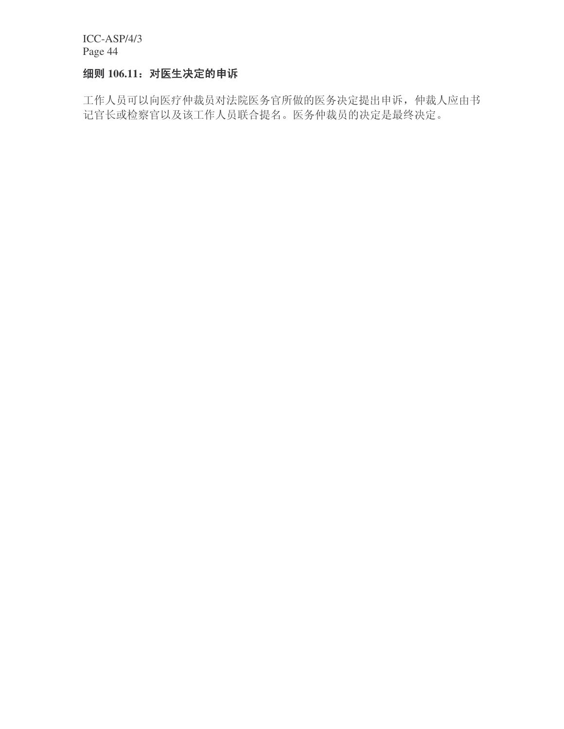# 细则 106.11: 对医生决定的申诉

工作人员可以向医疗仲裁员对法院医务官所做的医务决定提出申诉, 仲裁人应由书 记官长或检察官以及该工作人员联合提名。医务仲裁员的决定是最终决定。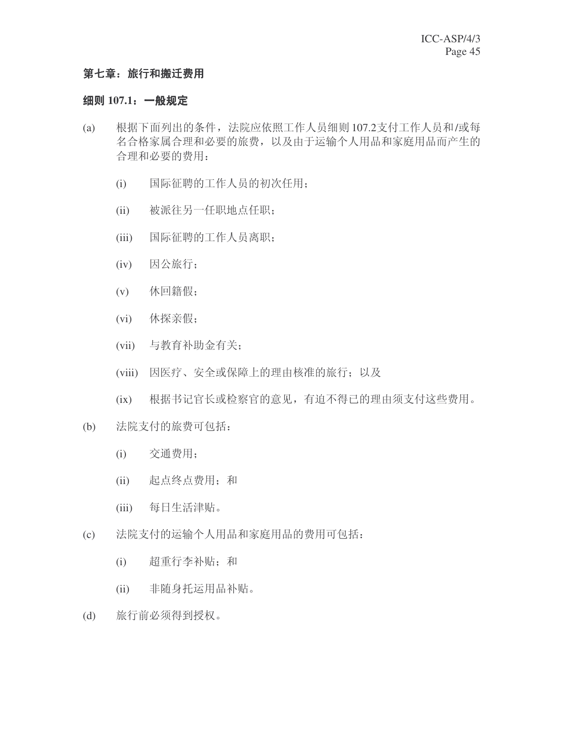## 第七章: 旅行和搬迁费用

### 细则 107.1: 一般规定

- (a) 根据下面列出的条件, 法院应依照工作人员细则 107.2支付工作人员和/或每 名合格家属合理和必要的旅费, 以及由于运输个人用品和家庭用品而产生的 合理和必要的费用:
	- (i) 国际征聘的工作人员的初次任用;
	- (ii) 被派往另一任职地点任职;
	- (iii) 国际征聘的工作人员离职:
	- (iv) 因公旅行:
	- $(v)$  休回籍假;
	- $(vi)$  休探亲假;
	- (vii) 与教育补助金有关;
	- (viii) 因医疗、安全或保障上的理由核准的旅行; 以及
	- (ix) 根据书记官长或检察官的意见,有迫不得已的理由须支付这些费用。
- (b) 法院支付的旅费可包括:
	- (i) 交通费用:
	- (ii) 起点终点费用; 和
	- (iii) 每日生活津贴。
- (c) 法院支付的运输个人用品和家庭用品的费用可包括:
	- (i) 超重行李补贴; 和
	- (ii) 非随身托运用品补贴。
- (d) 旅行前必须得到授权。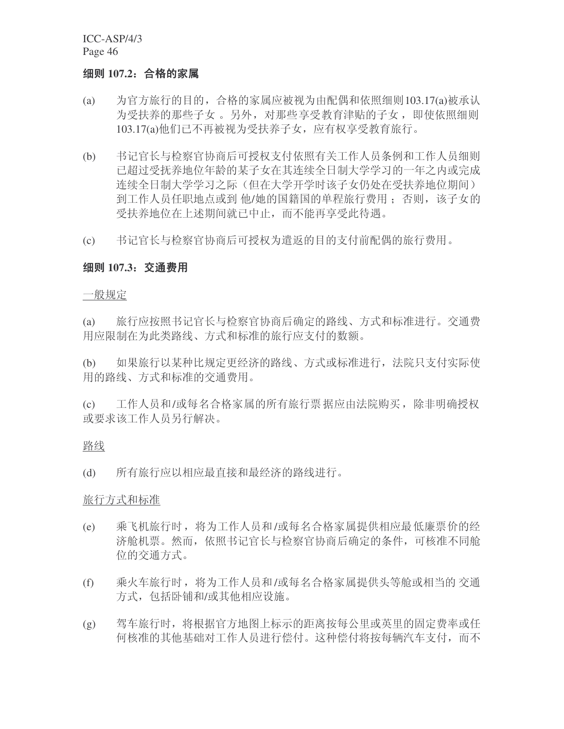#### 细则 107.2: 合格的家属

- (a) 为官方旅行的目的, 合格的家属应被视为由配偶和依照细则103.17(a)被承认 为受扶养的那些子女。另外, 对那些享受教育津贴的子女, 即使依照细则 103.17(a)他们已不再被视为受扶养子女, 应有权享受教育旅行。
- (b) 书记官长与检察官协商后可授权支付依照有关工作人员条例和工作人员细则 己超过受抚养地位年龄的某子女在其连续全日制大学学习的一年之内或完成 连续全日制大学学习之际(但在大学开学时该子女仍处在受扶养地位期间) 到工作人员任职地点或到 他/她的国籍国的单程旅行费用:否则,该子女的 受扶养地位在上述期间就已中止,而不能再享受此待遇。
- (c) 书记官长与检察官协商后可授权为遣返的目的支付前配偶的旅行费用。

#### **细则 107.3.交通费用**

一般规定

(a) 旅行应按照书记官长与检察官协商后确定的路线、方式和标准进行。交通费 用应限制在为此类路线、方式和标准的旅行应支付的数额。

(b) 如果旅行以某种比规定更经济的路线、方式或标准进行, 法院只支付实际使 用的路线、方式和标准的交通费用。

(c) 工作人员和/或每名合格家属的所有旅行票据应由法院购买,除非明确授权 或要求该工作人员另行解决。

#### 路线

(d) 所有旅行应以相应最直接和最经济的路线讲行。

#### 旅行方式和标准

- (e) 乘飞机旅行时, 将为工作人员和/或每名合格家属提供相应最低廉票价的经 济舱机票。然而, 依照书记官长与检察官协商后确定的条件, 可核准不同舱 位的交通方式。
- (f) 乘火车旅行时, 将为工作人员和/或每名合格家属提供头等舱或相当的 交通 方式, 包括卧铺和/或其他相应设施。
- (g) 驾车旅行时, 将根据官方地图上标示的距离按每公里或英里的固定费率或任 何核准的其他基础对工作人员进行偿付。这种偿付将按每辆汽车支付,而不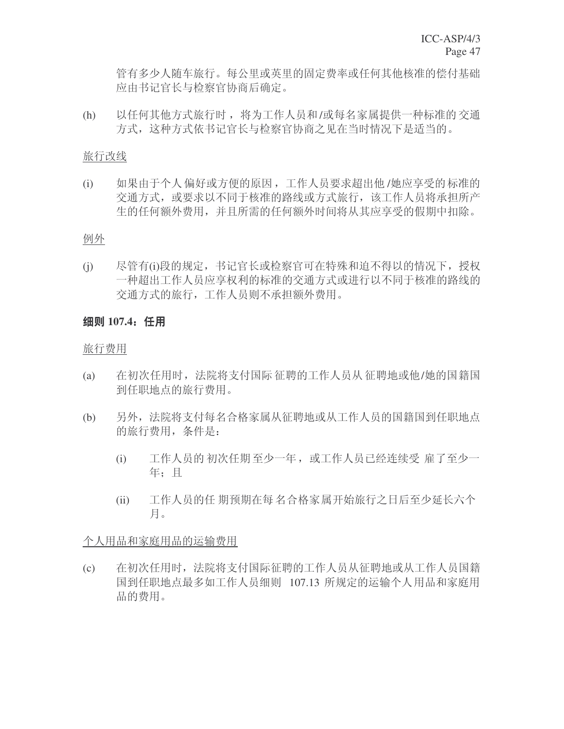管有多少人随车旅行。每公里或英里的固定费率或任何其他核准的偿付基础 应由书记官长与检察官协商后确定。

(h) 以任何其他方式旅行时, 将为工作人员和/或每名家属提供一种标准的交通 方式, 这种方式依书记官长与检察官协商之见在当时情况下是适当的。

#### 旅行改线

(i) 如果由于个人偏好或方便的原因,工作人员要求超出他/她应享受的标准的 交通方式, 或要求以不同于核准的路线或方式旅行, 该工作人员将承担所产 生的任何额外费用, 并且所需的任何额外时间将从其应享受的假期中扣除。

#### 例外

(j) 尽管有(i)段的规定, 书记官长或检察官可在特殊和迫不得以的情况下, 授权 一种超出工作人员应享权利的标准的交通方式或进行以不同于核准的路线的 交通方式的旅行,工作人员则不承担额外费用。

## 细则 107.4<sub></sub> 任用

### 旅行费用

- (a) 在初次任用时, 法院将支付国际 征聘的工作人员从 征聘地或他/她的国籍国 到任职地点的旅行费用。
- (b) 另外, 法院将支付每名合格家属从征聘地或从工作人员的国籍国到任职地点 的旅行费用, 条件是:
	- (i) 工作人员的 初次任期至少一年 ,或工作人员已经连续受 雇了至少一 年: 目
	- (ii) 工作人员的任 期预期在每 名合格家属开始旅行之日后至少延长六个 月。

### 个人用品和家庭用品的运输费用

(c) 在初次任用时, 法院将支付国际征聘的工作人员从征聘地或从工作人员国籍 国到任职地点最多如工作人员细则 107.13 所规定的运输个人用品和家庭用 品的费用。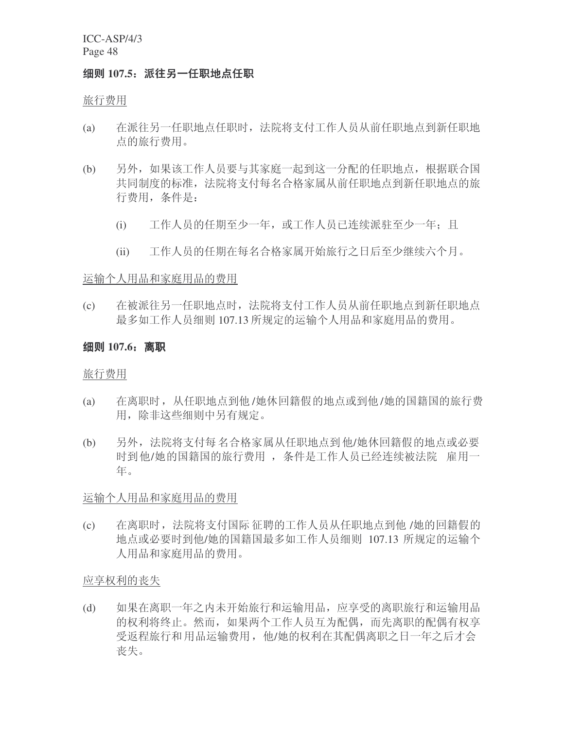#### 细则 107.5: 派往另一任职地点任职

旅行费用

- (a) 在派往另一任职地点任职时, 法院将支付工作人员从前任职地点到新任职地 点的旅行费用。
- (b) 另外, 如果该工作人员要与其家庭一起到这一分配的任职地点, 根据联合国 共同制度的标准, 法院将支付每名合格家属从前任职地点到新任职地点的旅 行费用, 条件是:
	- (i) 工作人员的任期至少一年, 或工作人员已连续派驻至少一年; 且
	- (ii) 工作人员的任期在每名合格家属开始旅行之日后至少继续六个月。

#### 运输个人用品和家庭用品的费用

(c) 在被派往另一任职地点时, 法院将支付工作人员从前任职地点到新任职地点 最多如工作人员细则 107.13 所规定的运输个人用品和家庭用品的费用。

### 细则 107.6: 离职

旅行费用

- (a) 在离职时, 从任职地点到他/她休回籍假的地点或到他/她的国籍国的旅行费 用, 除非这些细则中另有规定。
- (b) 另外, 法院将支付每 名合格家属从任职地点到他/她休回籍假的地点或必要 时到他/她的国籍国的旅行费用, 条件是工作人员已经连续被法院 雇用一 年。

### 运输个人用品和家庭用品的费用

(c) 在离职时, 法院将支付国际 征聘的工作人员从任职地点到他 /她的回籍假的 地点或必要时到他/她的国籍国最多如工作人员细则 107.13 所规定的运输个 人用品和家庭用品的费用。

应享权利的丧失

(d) 如果在离职一年之内未开始旅行和运输用品, 应享受的离职旅行和运输用品 的权利将终止。然而, 如果两个工作人员互为配偶, 而先离职的配偶有权享 受返程旅行和用品运输费用,他/她的权利在其配偶离职之日一年之后才会 丧失。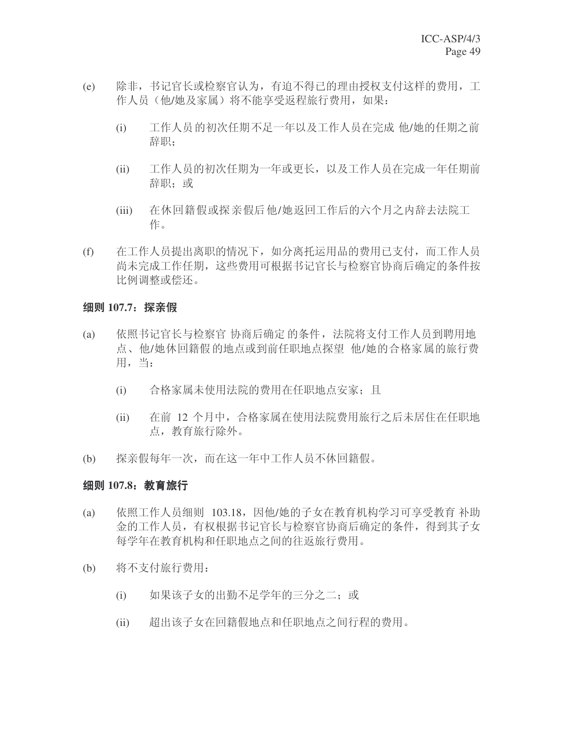- (e) 除非, 书记官长或检察官认为, 有迫不得已的理由授权支付这样的费用, 工 作人员(他/她及家属)将不能享受返程旅行费用,如果:
	- (i) 工作人员的初次任期不足一年以及工作人员在完成 他/她的任期之前 辞职;
	- (ii) 工作人员的初次任期为一年或更长, 以及工作人员在完成一年任期前 辞职: 或
	- (iii) 在休回籍假或探亲假后他/她返回工作后的六个月之内辞去法院工 作。
- (f) 在工作人员提出离职的情况下, 如分离托运用品的费用已支付, 而工作人员 尚未完成工作任期, 这些费用可根据书记官长与检察官协商后确定的条件按 比例调整或偿还。

#### 细则 107.7: 探亲假

- (a) 依照书记官长与检察官协商后确定的条件, 法院将支付工作人员到聘用地 点、他/她休回籍假的地点或到前任职地点探望 他/她的合格家属的旅行费 用,当:
	- (i) 合格家属未使用法院的费用在任职地点安家;且
	- (ii) 在前 12 个月中, 合格家属在使用法院费用旅行之后未居住在任职地 点, 教育旅行除外。
- (b) 探亲假每年一次,而在这一年中工作人员不休回籍假。

### **细则 107.8: 教育旅行**

- (a) 依照工作人员细则 103.18, 因他/她的子女在教育机构学习可享受教育 补助 金的工作人员, 有权根据书记官长与检察官协商后确定的条件, 得到其子女 每学年在教育机构和任职地点之间的往返旅行费用。
- (b) 将不支付旅行费用:
	- (i) 如果该子女的出勤不足学年的三分之二; 或
	- (ii) 超出该子女在回籍假地点和任职地点之间行程的费用。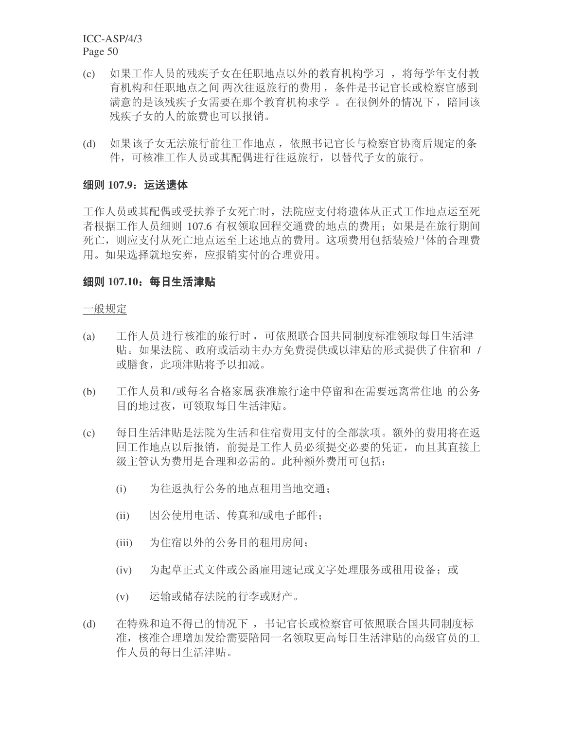- (c) 如果工作人员的残疾子女在任职地点以外的教育机构学习, 将每学年支付教 育机构和任职地点之间 两次往返旅行的费用, 条件是书记官长或检察官感到 满意的是该残疾子女需要在那个教育机构求学。在很例外的情况下, 陪同该 残疾子女的人的旅费也可以报销。
- (d) 如果该子女无法旅行前往工作地点, 依照书记官长与检察官协商后规定的条 件,可核准工作人员或其配偶讲行往返旅行,以替代子女的旅行。

### 细则 107.9: 运送遗体

工作人员或其配偶或受扶养子女死亡时,法院应支付将遗体从正式工作地点运至死 者根据工作人员细则 107.6 有权领取回程交通费的地点的费用: 如果是在旅行期间 死亡, 则应支付从死亡地点运至上述地点的费用。这项费用包括装殓尸体的合理费 用。如果选择就地安葬,应报销实付的合理费用。

### 细则 107.10: 每日生活津贴

一般规定

- (a) 工作人员进行核准的旅行时,可依照联合国共同制度标准领取每日生活津 贴。如果法院、政府或活动主办方免费提供或以津贴的形式提供了住宿和 / 或膳食, 此项津贴将予以扣减。
- (b) 工作人员和/或每名合格家属获准旅行途中停留和在需要远离常住地 的公务 目的地过夜,可领取每日生活津贴。
- (c) 每日生活津贴是法院为生活和住宿费用支付的全部款项。额外的费用将在返 回工作地点以后报销, 前提是工作人员必须提交必要的凭证, 而且其直接上 级主管认为费用是合理和必需的。此种额外费用可包括:
	- (i) 为往返执行公务的地点和用当地交通:
	- (ii) 因公使用电话、传真和/或电子邮件;
	- (iii) 为住宿以外的公务目的租用房间;
	- (iv) 为起草正式文件或公函雇用速记或文字处理服务或租用设备; 或
	- (v) 运输或储存法院的行李或财产。
- (d) 在特殊和迫不得已的情况下, 书记官长或检察官可依照联合国共同制度标 准, 核准合理增加发给需要陪同一名领取更高每日生活津贴的高级官员的工 作人员的每日生活津贴。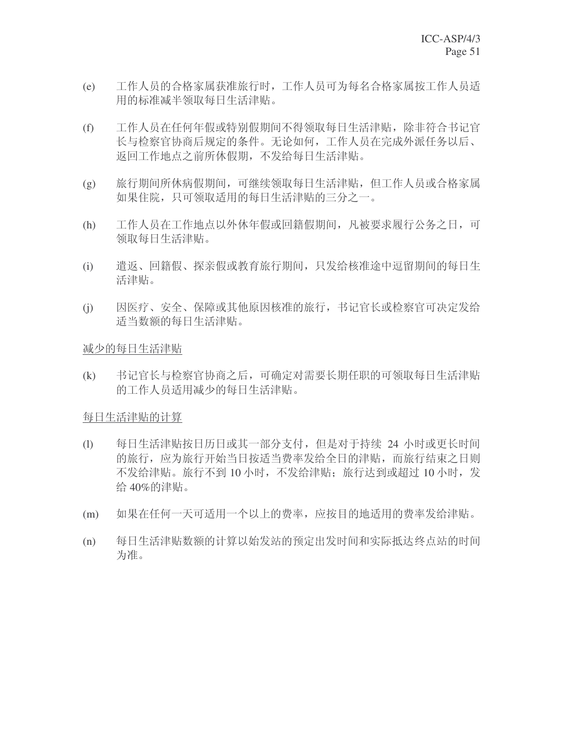- (e) 工作人员的合格家属获准旅行时,工作人员可为每名合格家属按工作人员适 用的标准减半领取每日生活津贴。
- (f) 工作人员在任何年假或特别假期间不得领取每日生活津贴, 除非符合书记官 长与检察官协商后规定的条件。无论如何,工作人员在完成外派任务以后、 返回工作地点之前所休假期, 不发给每日生活津贴。
- (g) 旅行期间所休病假期间, 可继续领取每日生活津贴, 但工作人员或合格家属 如果住院,只可领取适用的每日生活津贴的三分之一。
- (h) 工作人员在工作地点以外休年假或回籍假期间, 凡被要求履行公务之日, 可 领取每日生活津贴。
- (i) 遣返、回籍假、探亲假或教育旅行期间, 只发给核准途中逗留期间的每日生 活津贴。
- (j) 因医疗、安全、保障或其他原因核准的旅行, 书记官长或检察官可决定发给 适当数额的每日生活津贴。

減少的每日生活津贴

(k) 书记官长与检察官协商之后,可确定对需要长期任职的可领取每日生活津贴 的工作人员适用减少的每日生活津贴。

每日生活津贴的计算

- (1) 每日生活津贴按日历日或其一部分支付, 但是对于持续 24 小时或更长时间 的旅行,应为旅行开始当日按适当费率发给全日的津贴,而旅行结束之日则 不发给津贴。旅行不到10小时,不发给津贴:旅行达到或超过10小时,发 给 $40\%$ 的津贴。
- (m) 如果在任何一天可适用一个以上的费率, 应按目的地适用的费率发给津贴。
- (n) 每日生活津贴数额的计算以始发站的预定出发时间和实际抵达终点站的时间 为准。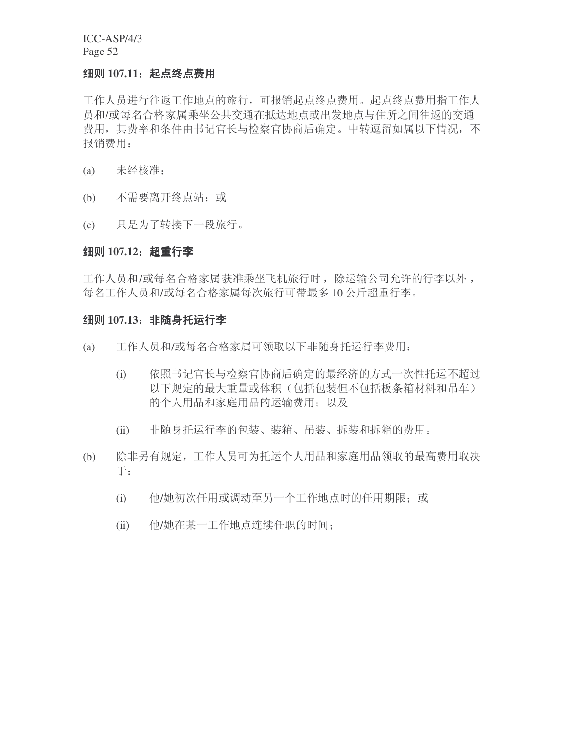### 细则 107.11; 起点终点费用

工作人员进行往返工作地点的旅行,可报销起点终点费用。起点终点费用指工作人 员和/或每名合格家属乘坐公共交通在抵达地点或出发地点与住所之间往返的交通 费用, 其费率和条件由书记官长与检察官协商后确定。中转逗留如属以下情况, 不 报销费用:

- (a) 未经核准;
- (b) 不需要离开终点站; 或
- (c) 只是为了转接下一段旅行。

#### 细则 107.12: 超重行李

工作人员和/或每名合格家属获准乘坐飞机旅行时, 除运输公司允许的行李以外, 每名工作人员和/或每名合格家属每次旅行可带最多10公斤超重行李。

#### 细则 107.13: 非随身托运行李

- (a) 工作人员和/或每名合格家属可领取以下非随身托运行李费用:
	- (i) 依照书记官长与检察官协商后确定的最经济的方式一次性托运不超过 以下规定的最大重量或体积(包括包装但不包括板条箱材料和吊车) 的个人用品和家庭用品的运输费用: 以及
	- (ii) 非随身托运行李的包装、装箱、吊装、拆装和拆箱的费用。
- (b) 除非另有规定,工作人员可为托运个人用品和家庭用品领取的最高费用取决  $\mp$ :
	- (i) 他/她初次任用或调动至另一个工作地点时的任用期限; 或
	- (ii) 他/她在某一工作地点连续任职的时间;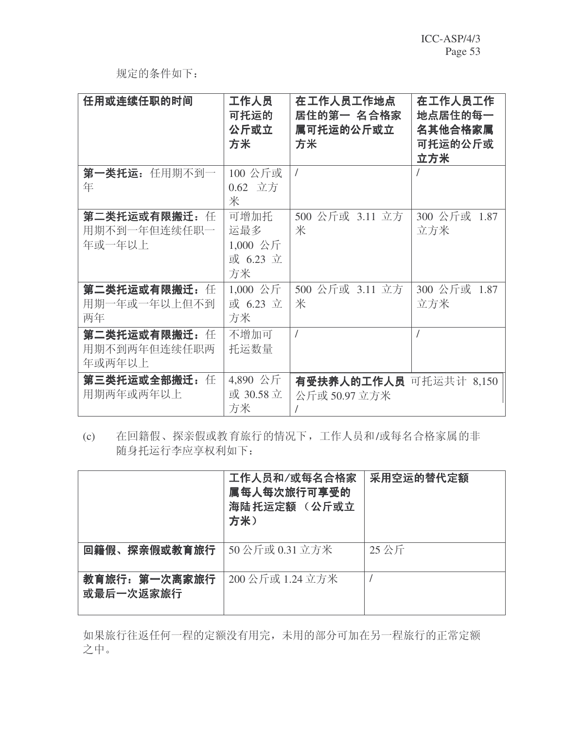# 规定的条件如下:

| 任用或连续任职的时间                              | 工作人员<br>可托运的<br>公斤或立<br>方米                  | 在工作人员工作地点<br>居住的第一 名合格家<br>属可托运的公斤或立<br>方米 | 在工作人员工作<br>地点居住的每一<br>名其他合格家属<br>可托运的公斤或<br>立方米 |
|-----------------------------------------|---------------------------------------------|--------------------------------------------|-------------------------------------------------|
| 第一类托运: 任用期不到一<br>年                      | 100 公斤或<br>0.62 立方<br>米                     | $\overline{1}$                             |                                                 |
| 第二类托运或有限搬迁: 任<br>用期不到一年但连续任职一<br>年或一年以上 | 可增加托<br>运最多<br>$1,000$ 公斤<br>或 6.23 立<br>方米 | 500 公斤或 3.11 立方<br>米                       | 300 公斤或 1.87<br>立方米                             |
| 第二类托运或有限搬迁: 任<br>用期一年或一年以上但不到<br>两年     | 1,000 公斤<br>或 6.23 立<br>方米                  | 500 公斤或 3.11 立方<br>米                       | 300 公斤或 1.87<br>立方米                             |
| 第二类托运或有限搬迁: 任<br>用期不到两年但连续任职两<br>年或两年以上 | 不增加可<br>托运数量                                | $\sqrt{ }$                                 | $\prime$                                        |
| 第三类托运或全部搬迁: 任<br>用期两年或两年以上              | 4,890 公斤<br>或 30.58 立<br>方米                 | 有受扶养人的工作人员 可托运共计 8,150<br>公斤或 50.97 立方米    |                                                 |

(c) 在回籍假、探亲假或教育旅行的情况下,工作人员和/或每名合格家属的非 随身托运行李应享权利如下:

|                            | 工作人员和/或每名合格家<br>属每人每次旅行可享受的<br>海陆托运定额 (公斤或立<br>方米) | 采用空运的替代定额 |
|----------------------------|----------------------------------------------------|-----------|
| 回籍假、探亲假或教育旅行               | 50公斤或 0.31 立方米                                     | 25公斤      |
| 教育旅行: 第一次离家旅行<br>或最后一次返家旅行 | 200 公斤或 1.24 立方米                                   |           |

如果旅行往返任何一程的定额没有用完,未用的部分可加在另一程旅行的正常定额 之中。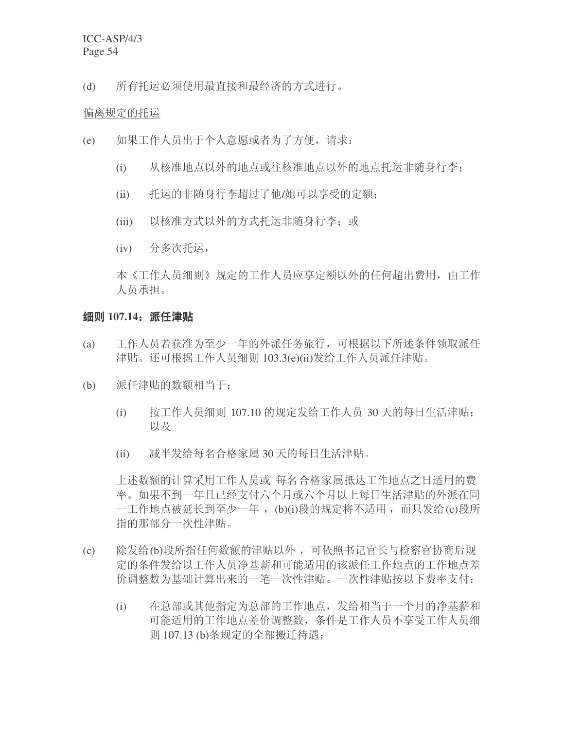(d) 所有托运必须使用最直接和最经济的方式进行。

#### 偏离规定的托运

- (e) 如果工作人员出于个人意愿或者为了方便, 请求:
	- (i) 从核准地点以外的地点或往核准地点以外的地点托运非随身行李;
	- (ii) 托运的非随身行李超过了他/她可以享受的定额:
	- (iii) 以核准方式以外的方式托运非随身行李: 或
	- (iv) 分多次托运,

本《工作人员细则》规定的工作人员应享定额以外的任何超出费用, 由工作 人员承担。

### 细则 107.14. 派任津贴

- (a) 工作人员若获准为至少一年的外派任务旅行, 可根据以下所述条件领取派任 津贴。还可根据工作人员细则 103.3(e)(ii)发给工作人员派任津贴。
- (b) 派任津贴的数额相当于:
	- (i) 按工作人员细则 107.10 的规定发给工作人员 30 天的每日生活津贴; ҹঞ
	- (ii) 减半发给每名合格家属 30 天的每日生活津贴。

上述数额的计算采用工作人员或 每名合格家属抵达工作地点之日适用的费 率。如果不到一年且已经支付六个月或六个月以上每日生活津贴的外派在同 一工作地点被延长到至少一年, (b)(i)段的规定将不适用, 而只发给(c)段所 指的那部分一次性津贴。

- (c) 除发给(b)段所指任何数额的津贴以外,可依照书记官长与检察官协商后规 定的条件发给以工作人员净基薪和可能适用的该派任工作地点的工作地点差 价调整数为基础计算出来的一笔一次性津贴。一次性津贴按以下费率支付:
	- (i) 在总部或其他指定为总部的工作地点, 发给相当于一个月的净基薪和 可能适用的工作地点差价调整数, 条件是工作人员不享受工作人员细 则 107.13 (b)条规定的全部搬迁待遇: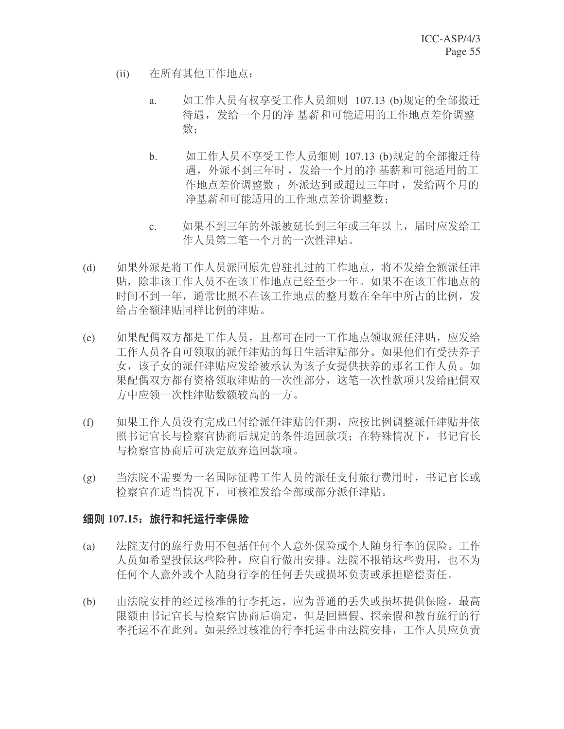- (ii) 在所有其他工作地点:
	- a. 如工作人员有权享受工作人员细则 107.13 (b)规定的全部搬迁 待遇, 发给一个月的净 基薪和可能适用的工作地点差价调整 数:
	- b. 如工作人员不享受工作人员细则 107.13 (b)规定的全部搬迁待 遇, 外派不到三年时, 发给一个月的净基薪和可能适用的工 作地点差价调整数: 外派达到或超过三年时, 发给两个月的 净基薪和可能适用的工作地点差价调整数:
	- c. 如果不到三年的外派被延长到三年或三年以上, 届时应发给工 作人员第二笔一个月的一次性津贴。
- (d) 如果外派是将工作人员派回原先曾驻扎过的工作地点, 将不发给全额派任津 贴, 除非该工作人员不在该工作地点已经至少一年。如果不在该工作地点的 时间不到一年,通常比照不在该工作地点的整月数在全年中所占的比例,发 给占全额津贴同样比例的津贴。
- (e) 如果配偶双方都是工作人员,且都可在同一工作地点领取派任津贴,应发给 工作人员各自可领取的派任津贴的每日生活津贴部分。如果他们有受扶养子 女,该子女的派任津贴应发给被承认为该子女提供扶养的那名工作人员。如 果配偶双方都有资格领取津贴的一次性部分, 这笔一次性款项只发给配偶双 方中应领一次性津贴数额较高的一方。
- (f) 如果工作人员没有完成已付给派任津贴的任期, 应按比例调整派任津贴并依 照书记官长与检察官协商后规定的条件追回款项; 在特殊情况下, 书记官长 与检察官协商后可决定放弃追回款项。
- (g) 当法院不需要为一名国际征聘工作人员的派任支付旅行费用时, 书记官长或 检察官在适当情况下,可核准发给全部或部分派任津贴。

### 细则 107.15: 旅行和托运行李保险

- (a) 法院支付的旅行费用不包括任何个人意外保险或个人随身行李的保险。工作 人员如希望投保这些险种, 应自行做出安排。法院不报销这些费用, 也不为 任何个人意外或个人随身行李的任何丢失或损坏负责或承担赔偿责任。
- (b) 由法院安排的经过核准的行李托运, 应为普通的丢失或损坏提供保险, 最高 限额由书记官长与检察官协商后确定,但是回籍假、探亲假和教育旅行的行 李托运不在此列。如果经过核准的行李托运非由法院安排,工作人员应负责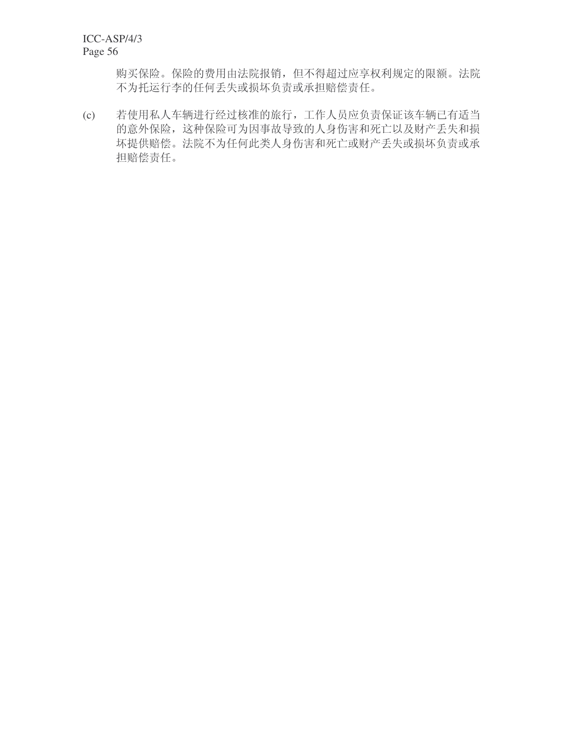购买保险。保险的费用由法院报销,但不得超过应享权利规定的限额。法院 不为托运行李的任何丢失或损坏负责或承担赔偿责任。

(c) 若使用私人车辆进行经过核准的旅行,工作人员应负责保证该车辆已有适当 的意外保险,这种保险可为因事故导致的人身伤害和死亡以及财产丢失和损 坏提供赔偿。法院不为任何此类人身伤害和死亡或财产丢失或损坏负责或承 担赔偿责任。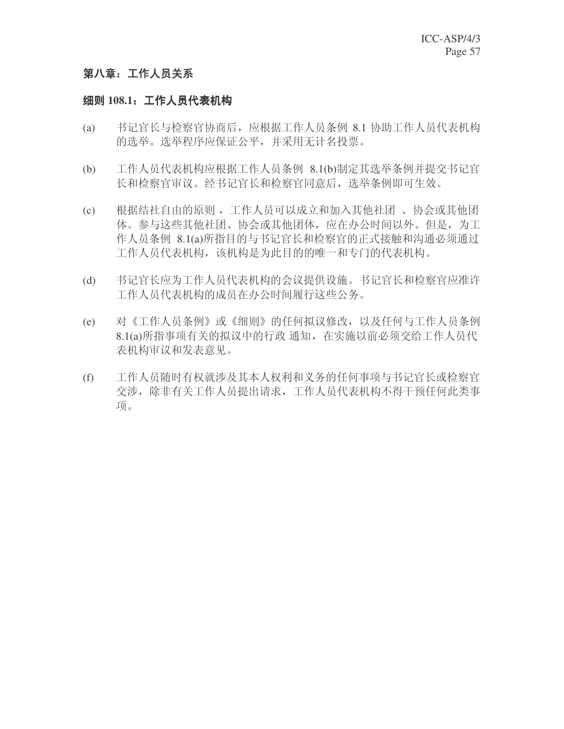## 第八章: 工作人员关系

## 细则 108.1: 工作人员代表机构

- (a) 书记官长与检察官协商后, 应根据工作人员条例 8.1 协助工作人员代表机构 的选举。选举程序应保证公平,并采用无计名投票。
- (b) 工作人员代表机构应根据工作人员条例 8.1(b)制定其选举条例并提交书记官 长和检察官审议。经书记官长和检察官同意后, 选举条例即可生效。
- (c) 根据结社自由的原则,工作人员可以成立和加入其他社团、协会或其他团 体。参与这些其他社团、协会或其他团体,应在办公时间以外。但是,为工 作人员条例 8.1(a)所指目的与书记官长和检察官的正式接触和沟通必须通过 工作人员代表机构,该机构是为此目的的唯一和专门的代表机构。
- (d) 书记官长应为工作人员代表机构的会议提供设施。书记官长和检察官应准许 工作人员代表机构的成员在办公时间履行这些公务。
- (e) 对《工作人员条例》或《细则》的任何拟议修改, 以及任何与工作人员条例 8.1(a)所指事项有关的拟议中的行政 通知, 在实施以前必须交给工作人员代 表机构审议和发表意见。
- (f) 工作人员随时有权就涉及其本人权利和义务的任何事项与书记官长或检察官 交涉, 除非有关工作人员提出请求, 工作人员代表机构不得干预任何此类事 项。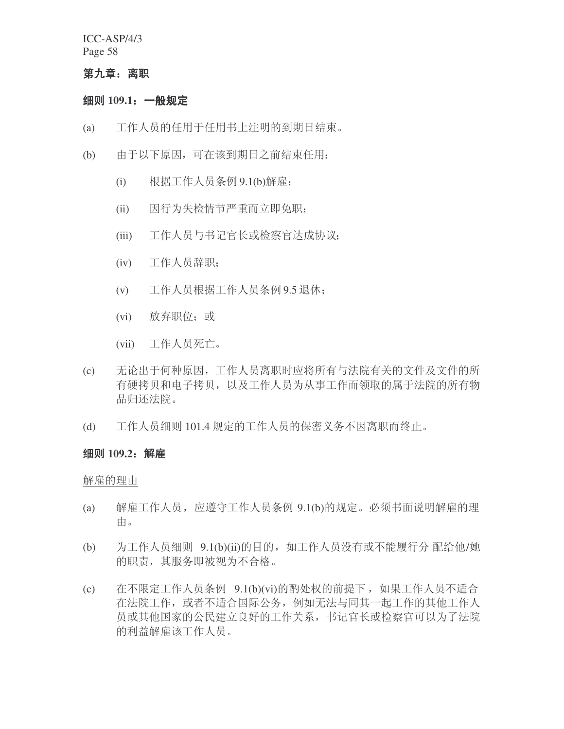#### 第九章: 离职

### 细则 109.1: 一般规定

- (a) 工作人员的任用于任用书上注明的到期日结束。
- (b) 由于以下原因,可在该到期日之前结束任用:
	- (i) 根据工作人员条例 9.1(b)解雇;
	- (ii) 因行为失检情节严重而立即免职;
	- (iii) 工作人员与书记官长或检察官达成协议;
	- (iv) 工作人员辞职;
	- (v) 工作人员根据工作人员条例 9.5 退休;
	- (vi) 放弃职位: 或
	- (vii) 工作人员死亡。
- (c) 无论出于何种原因, 工作人员离职时应将所有与法院有关的文件及文件的所 有硬拷贝和电子拷贝, 以及工作人员为从事工作而领取的属于法院的所有物 品归还法院。
- (d) 工作人员细则 101.4 规定的工作人员的保密义务不因离职而终止。

#### 细则 109.2<sub></sub> 解雇

解雇的理由

- (a) 解雇工作人员, 应遵守工作人员条例 9.1(b)的规定。必须书面说明解雇的理 由。
- (b) 为工作人员细则 9.1(b)(ii)的目的, 如工作人员没有或不能履行分 配给他/她 的职责, 其服务即被视为不合格。
- (c) 在不限定工作人员条例 9.1(b)(vi)的酌处权的前提下, 如果工作人员不适合 在法院工作, 或者不适合国际公务, 例如无法与同其一起工作的其他工作人 员或其他国家的公民建立良好的工作关系, 书记官长或检察官可以为了法院 的利益解雇该工作人员。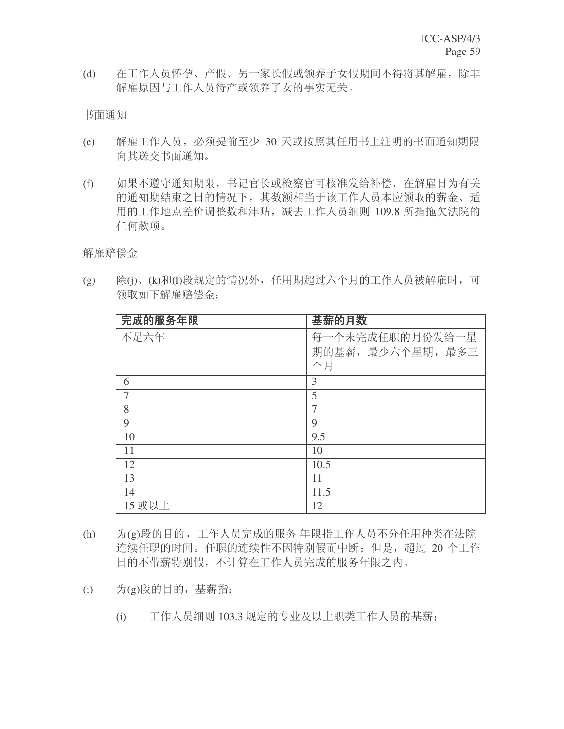(d) 在工作人员怀孕、产假、另一家长假或领养子女假期间不得将其解雇, 除非 解雇原因与工作人员待产或领养子女的事实无关。

书面通知

- (e) 解雇工作人员, 必须提前至少 30 天或按照其任用书上注明的书面通知期限 向其送交书面通知。
- (f) 如果不遵守通知期限, 书记官长或检察官可核准发给补偿, 在解雇日为有关 的通知期结束之日的情况下,其数额相当于该工作人员本应领取的薪金、适 用的工作地点差价调整数和津贴, 减去工作人员细则 109.8 所指拖欠法院的 任何款项。

解雇赔偿金

(g) 除(j)、(k)和(l)段规定的情况外, 任用期超过六个月的工作人员被解雇时, 可 领取如下解雇赔偿金:

| 完成的服务年限 | 基薪的月数             |
|---------|-------------------|
| 不足六年    | 每一个未完成任职的月份发给一星   |
|         | 期的基薪, 最少六个星期, 最多三 |
|         | 个月                |
| 6       | 3                 |
| 7       | 5                 |
| 8       | 7                 |
| 9       | 9                 |
| 10      | 9.5               |
| 11      | 10                |
| 12      | 10.5              |
| 13      | 11                |
| 14      | 11.5              |
| 15 或以上  | 12                |

- (h) 为(g)段的目的,工作人员完成的服务 年限指工作人员不分任用种类在法院 连续任职的时间。任职的连续性不因特别假而中断;但是,超过20个工作 日的不带薪特别假,不计算在工作人员完成的服务年限之内。
- (i) 为(g)段的目的, 基薪指:
	- (i) 工作人员细则 103.3 规定的专业及以上职类工作人员的基薪;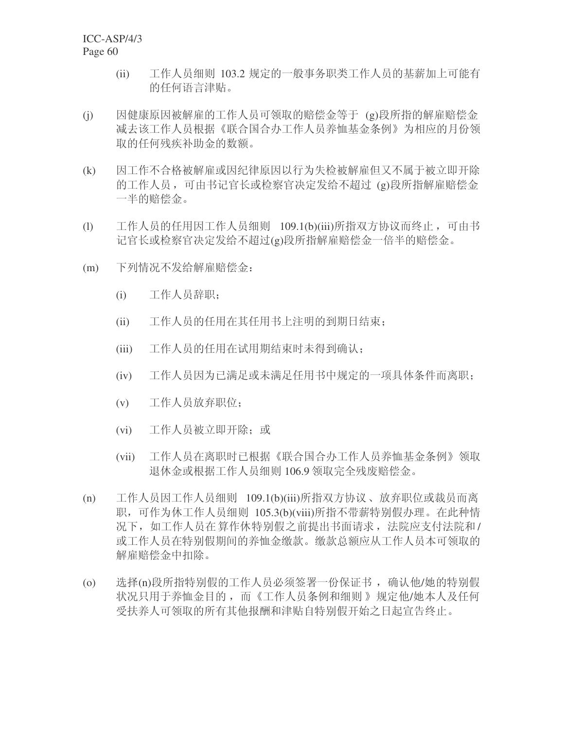- (ii) 工作人员细则 103.2 规定的一般事务职类工作人员的基薪加上可能有 的任何语言津贴。
- (j) 因健康原因被解雇的工作人员可领取的赔偿金等于 (g)段所指的解雇赔偿金 减去该工作人员根据《联合国合办工作人员养恤基金条例》为相应的月份领 取的任何残疾补助金的数额。
- (k) 因工作不合格被解雇或因纪律原因以行为失检被解雇但又不属于被立即开除 的工作人员, 可由书记官长或检察官决定发给不超过(g)段所指解雇赔偿金 一半的赔偿金。
- (l) 工作人员的任用因工作人员细则 109.1(b)(iii)所指双方协议而终止, 可由书 记官长或检察官决定发给不超过(g)段所指解雇赔偿金一倍半的赔偿金。
- (m) 下列情况不发给解雇赔偿金:
	- (i) 工作人员辞职:
	- (ii) 工作人员的任用在其任用书上注明的到期日结束:
	- (iii) 工作人员的任用在试用期结束时未得到确认;
	- (iv) 工作人员因为已满足或未满足任用书中规定的一项具体条件而离职:
	- (v) 工作人员放弃职位;
	- (vi) 工作人员被立即开除; 或
	- (vii) 工作人员在离职时已根据《联合国合办工作人员养恤基金条例》领取 退休金或根据工作人员细则 106.9 领取完全残废赔偿金。
- (n) 工作人员因工作人员细则 109.1(b)(iii)所指双方协议、放弃职位或裁员而离 职, 可作为休工作人员细则 105.3(b)(viii)所指不带薪特别假办理。在此种情 况下, 如工作人员在算作休特别假之前提出书面请求, 法院应支付法院和/ 或工作人员在特别假期间的养恤金缴款。缴款总额应从工作人员本可领取的 解雇赔偿金中扣除。
- (o) 选择(n)段所指特别假的工作人员必须签署一份保证书,确认他/她的特别假 状况只用于养恤金目的, 而《工作人员条例和细则》规定他/她本人及任何 受扶养人可领取的所有其他报酬和津贴自特别假开始之日起宣告终止。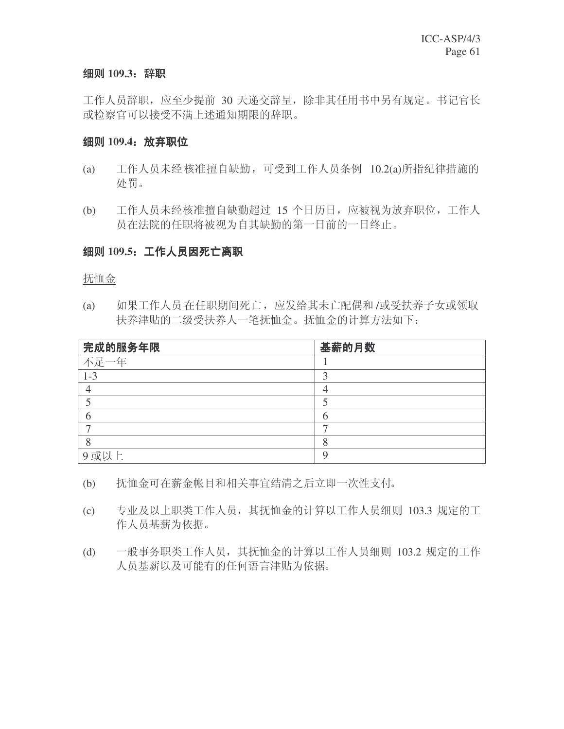### 细则 109.3: 辞职

工作人员辞职, 应至少提前 30 天递交辞呈, 除非其任用书中另有规定。书记官长 或检察官可以接受不满上述通知期限的辞职。

### **细则 109.4**: 放弃职位

- (a) 工作人员未经核准擅自缺勤, 可受到工作人员条例 10.2(a)所指纪律措施的 处罚。
- (b) 工作人员未经核准擅自缺勤超过 15 个日历日, 应被视为放弃职位, 工作人 员在法院的任职将被视为自其缺勤的第一日前的一日终止。

### **细则 109.5: 工作人员因死亡离职**

抚恤金

(a) 如果工作人员在任职期间死亡, 应发给其未亡配偶和 /或受扶养子女或领取 扶养津贴的二级受扶养人一笔抚恤金。抚恤金的计算方法如下:

| 完成的服务年限 | 基薪的月数 |
|---------|-------|
| 不足一年    |       |
| $1 - 3$ |       |
|         |       |
|         |       |
|         |       |
|         |       |
|         |       |
| 9或以上    |       |

- (b) 抚恤金可在薪金帐目和相关事宜结清之后立即一次性支付。
- (c) 专业及以上职类工作人员, 其抚恤金的计算以工作人员细则 103.3 规定的工 作人员基薪为依据。
- (d) 一般事务职类工作人员, 其抚恤金的计算以工作人员细则 103.2 规定的工作 人员基薪以及可能有的任何语言津贴为依据。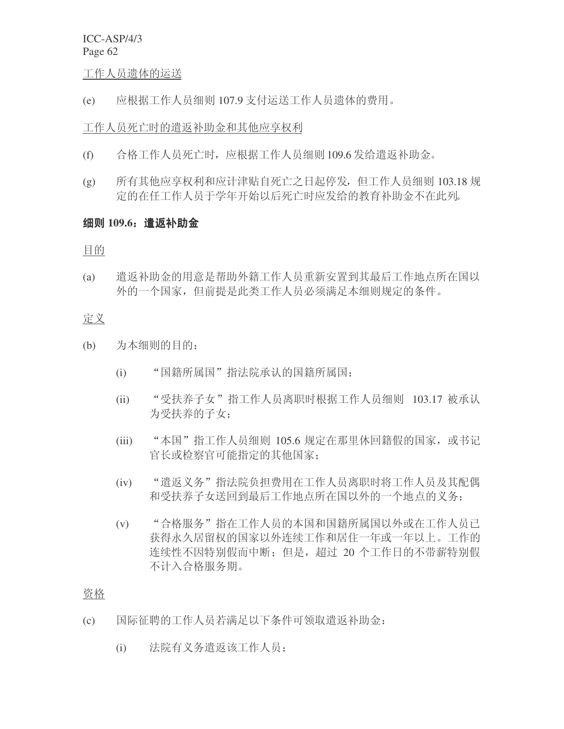#### 工作人员遗体的运送

(e) 应根据工作人员细则 107.9 支付运送工作人员遗体的费用。

#### 工作人员死亡时的遣返补助金和其他应享权利

- (f) 合格工作人员死亡时, 应根据工作人员细则 109.6 发给遣返补助金。
- (g) 所有其他应享权利和应计津贴自死亡之日起停发,但工作人员细则 103.18 规 定的在任工作人员于学年开始以后死亡时应发给的教育补助金不在此列。

### **细则 109.6: 遣返补助金**

目的

(a) 遣返补助金的用意是帮助外籍工作人员重新安置到其最后工作地点所在国以 外的一个国家,但前提是此类工作人员必须满足本细则规定的条件。

### 定义

- (b) 为本细则的目的:
	- (i) "国籍所属国"指法院承认的国籍所属国;
	- (ii) "受扶养子女"指工作人员离职时根据工作人员细则 103.17 被承认 为受扶养的子女;
	- (iii) "本国"指工作人员细则 105.6 规定在那里休回籍假的国家, 或书记 官长或检察官可能指定的其他国家;
	- (iv) "遣返义务"指法院负担费用在工作人员离职时将工作人员及其配偶 和受扶养子女送回到最后工作地点所在国以外的一个地点的义务;
	- (v) "合格服务"指在工作人员的本国和国籍所属国以外或在工作人员已 获得永久居留权的国家以外连续工作和居住一年或一年以上。工作的 连续性不因特别假而中断: 但是, 超过 20 个工作日的不带薪特别假 不计入合格服务期。

#### 资格

- (c) 国际征聘的工作人员若满足以下条件可领取遣返补助金:
	- (i) 法院有义务遣返该工作人员;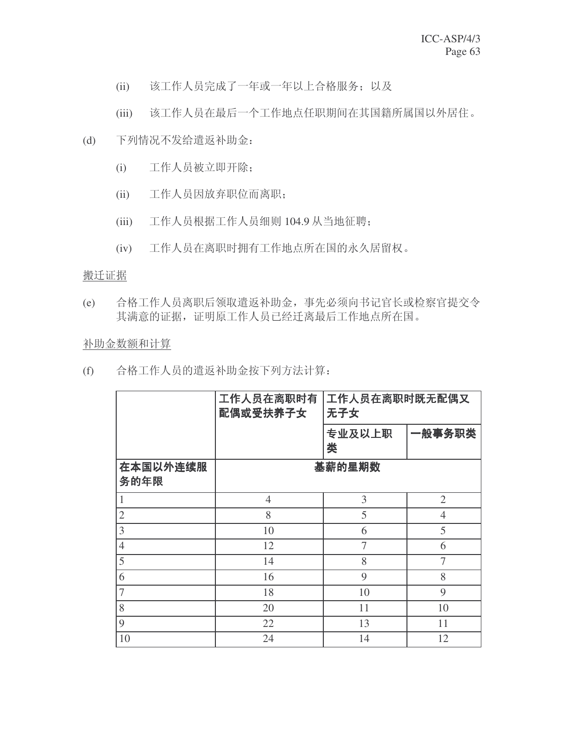- (ii) 该工作人员完成了一年或一年以上合格服务; 以及
- (iii) 该工作人员在最后一个工作地点任职期间在其国籍所属国以外居住。
- (d) 下列情况不发给遣返补助金:
	- (i) 工作人员被立即开除;
	- (ii) 工作人员因放弃职位而离职;
	- (iii) 工作人员根据工作人员细则 104.9 从当地征聘;
	- (iv) 工作人员在离职时拥有工作地点所在国的永久居留权。

#### 搬迁证据

(e) 合格工作人员离职后领取遣返补助金, 事先必须向书记官长或检察官提交令 其满意的证据, 证明原工作人员已经迁离最后工作地点所在国。

### 补助金数额和计算

(f) 合格工作人员的遣返补助金按下列方法计算:

|                  | 工作人员在离职时有<br>工作人员在离职时既无配偶又<br>配偶或受扶养子女<br>无子女 |                |                |
|------------------|-----------------------------------------------|----------------|----------------|
|                  |                                               | 专业及以上职<br>类    | 一般事务职类         |
| 在本国以外连续服<br>务的年限 |                                               | 基薪的星期数         |                |
|                  | $\overline{4}$                                | 3              | 2              |
| $\overline{2}$   | 8                                             | 5              | $\overline{4}$ |
| 3                | 10                                            | 6              | 5              |
| $\overline{4}$   | 12                                            | $\overline{7}$ | 6              |
| 5                | 14                                            | 8              | 7              |
| 6                | 16                                            | 9              | 8              |
| $\overline{7}$   | 18                                            | 10             | 9              |
| 8                | 20                                            | 11             | 10             |
| 9                | 22                                            | 13             | 11             |
| 10               | 24                                            | 14             | 12             |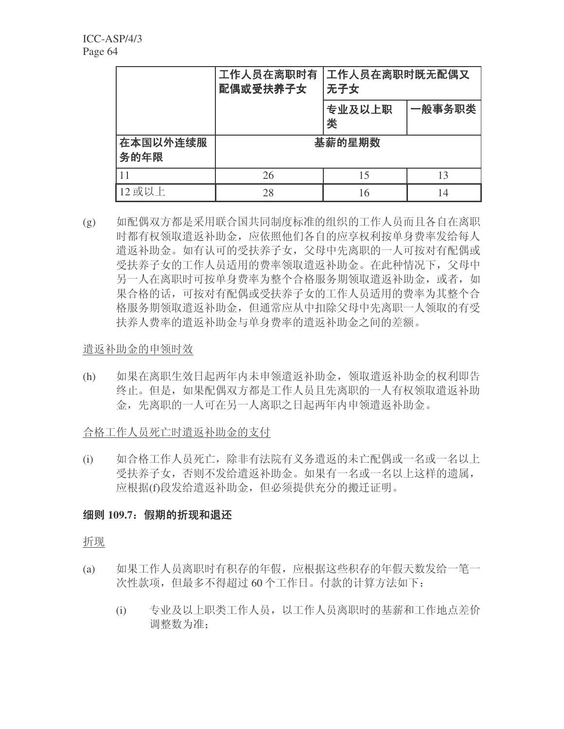|                  | 工作人员在离职时有<br>工作人员在离职时既无配偶又<br>配偶或受扶养子女<br>无子女 |             |        |
|------------------|-----------------------------------------------|-------------|--------|
|                  |                                               | 专业及以上职<br>类 | 一般事务职类 |
| 在本国以外连续服<br>务的年限 |                                               | 基薪的星期数      |        |
| 11               | 26                                            | 15          | 13     |
| 12 或以上           | 28                                            | 16          | 14     |

(g) 如配偶双方都是采用联合国共同制度标准的组织的工作人员而且各自在离职 时都有权领取遣返补助金, 应依照他们各自的应享权利按单身费率发给每人 造返补助金。如有认可的受扶养子女,父母中先离职的一人可按对有配偶或 受扶养子女的工作人员适用的费率领取遣返补助金。在此种情况下, 父母中 另一人在离职时可按单身费率为整个合格服务期领取遣返补助金, 或者, 如 果合格的话,可按对有配偶或受扶养子女的工作人员适用的费率为其整个合 格服务期领取遣返补助金, 但通常应从中扣除父母中先离职一人领取的有受 扶养人费率的遣返补助金与单身费率的遣返补助金之间的差额。

## 遣返补助金的申领时效

(h) 如果在离职生效日起两年内未申领遣返补助金, 领取遣返补助金的权利即告 终止。但是, 如果配偶双方都是工作人员且先离职的一人有权领取遣返补助 金, 先离职的一人可在另一人离职之日起两年内申领遣返补助金。

合格工作人员死亡时遣返补助金的支付

(i) 如合格工作人员死亡,除非有法院有义务遣返的未亡配偶或一名或一名以上 受扶养子女,否则不发给遣返补助金。如果有一名或一名以上这样的遗属, 应根据(f)段发给遣返补助金, 但必须提供充分的搬迁证明。

## 细则 109.7: 假期的折现和退还

折现

- (a) 如果工作人员离职时有积存的年假,应根据这些积存的年假天数发给一笔一 次性款项, 但最多不得超过 60 个工作日。付款的计算方法如下:
	- (i) 专业及以上职类工作人员, 以工作人员离职时的基薪和工作地点差价 调整数为准: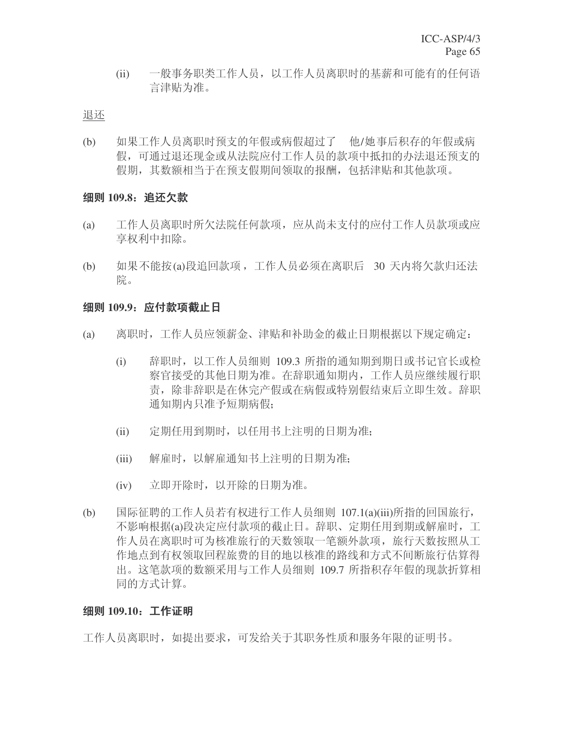(ii) 一般事务职类工作人员, 以工作人员离职时的基薪和可能有的任何语 言津贴为准。

#### 退还

(b) 如果工作人员离职时预支的年假或病假超过了 他/她事后积存的年假或病 假,可通过退还现金或从法院应付工作人员的款项中抵扣的办法退还预支的 假期, 其数额相当于在预支假期间领取的报酬, 包括津贴和其他款项。

### 细则 109.8: 追还欠款

- (a) 工作人员离职时所欠法院任何款项, 应从尚未支付的应付工作人员款项或应 享权利中扣除。
- (b) 如果不能按(a)段追回款项, 工作人员必须在离职后 30 天内将欠款归还法 院。

### 细则 109.9: 应付款项截止日

- (a) 离职时,工作人员应领薪金、津贴和补助金的截止日期根据以下规定确定:
	- (i) 辞职时, 以工作人员细则 109.3 所指的通知期到期日或书记官长或检 察官接受的其他日期为准。在辞职通知期内,工作人员应继续履行职 责, 除非辞职是在休完产假或在病假或特别假结束后立即生效。辞职 通知期内只准予短期病假:
	- (ii) 宗期任用到期时, 以任用书上注明的日期为准:
	- (iii) 解雇时, 以解雇通知书上注明的日期为准;
	- (iv) 立即开除时, 以开除的日期为准。
- (b) 国际征聘的工作人员若有权进行工作人员细则 107.1(a)(iii)所指的回国旅行, 不影响根据(a)段决定应付款项的截止日。辞职、定期任用到期或解雇时,工 作人员在离职时可为核准旅行的天数领取一笔额外款项, 旅行天数按照从工 作地点到有权领取回程旅费的目的地以核准的路线和方式不间断旅行估算得 出。这笔款项的数额采用与工作人员细则 109.7 所指积存年假的现款折算相 同的方式计算。

### 细则 109.10: 工作证明

工作人员离职时, 如提出要求, 可发给关于其职务性质和服务年限的证明书。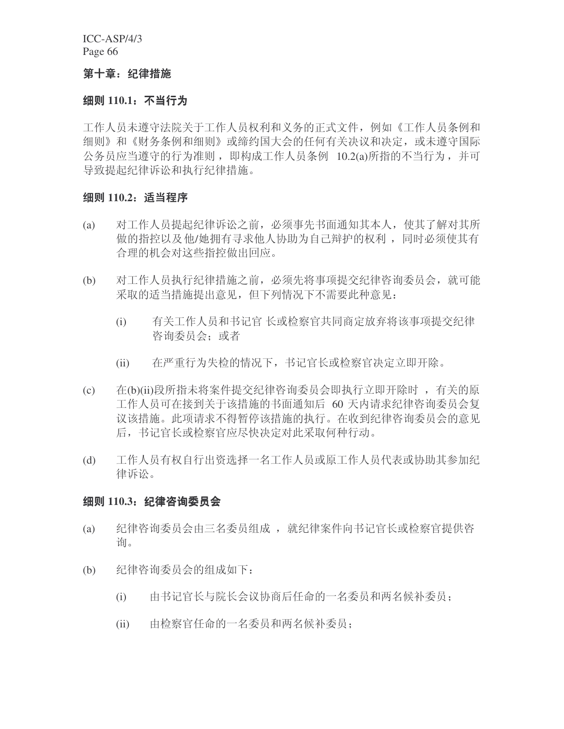#### 第十章: 纪律措施

#### 纽则 110.1.不当行**为**

工作人员未遵守法院并工作人员权利和义务的正式文件, 例如《工作人员条例和 细则》和《财务条例和细则》或缔约国大会的任何有关决议和决定, 或未遵守国际 公务员应当遵守的行为准则, 即构成工作人员条例 10.2(a)所指的不当行为, 并可 导致提起纪律诉讼和执行纪律措施。

### 细则 110.2: 适当程序

- (a) 对工作人员提起纪律诉讼之前, 必须事先书面通知其本人, 使其了解对其所 做的指控以及他/她拥有寻求他人协助为自己辩护的权利,同时必须使其有 合理的机会对这些指控做出回应。
- (b) 对工作人员执行纪律措施之前,必须先将事项提交纪律咨询委员会,就可能 采取的适当措施提出意见, 但下列情况下不需要此种意见:
	- (i) 有关工作人员和书记官 长或检察官共同商定放弃将该事项提交纪律 咨询委员会: 或者
	- (ii) 在严重行为失检的情况下, 书记官长或检察官决定立即开除。
- (c) 在(b)(ii)段所指未将案件提交纪律咨询委员会即执行立即开除时, 有关的原 工作人员可在接到关于该措施的书面通知后 60 天内请求纪律咨询委员会复 议该措施。此项请求不得暂停该措施的执行。在收到纪律咨询委员会的意见 后, 书记官长或检察官应尽快决定对此采取何种行动。
- (d) 工作人员有权自行出资选择一名工作人员或原工作人员代表或协助其参加纪 律诉讼。

#### 细则 110.3: 纪律咨询委员会

- (a) 纪律咨询委员会由三名委员组成 , 就纪律案件向书记官长或检察官提供咨 询。
- (b) 纪律咨询委员会的组成如下:
	- (i) 由书记官长与院长会议协商后任命的一名委员和两名候补委员;
	- (ii) 由检察官任命的一名委员和两名候补委员: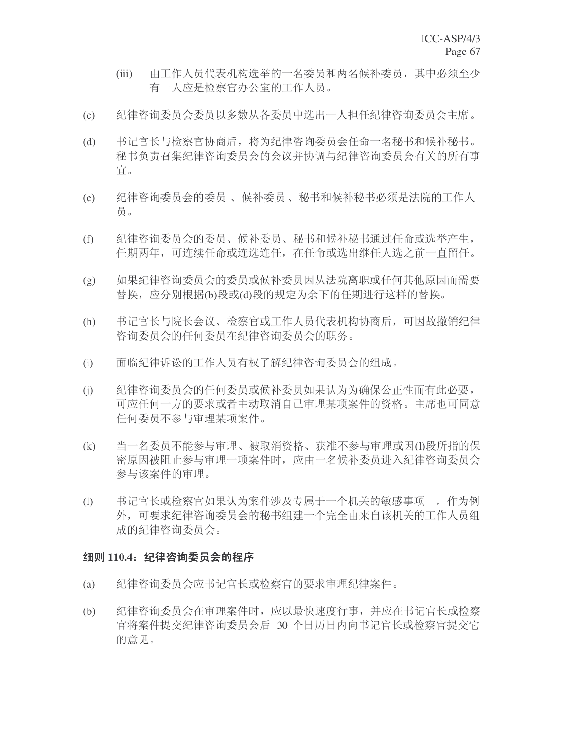- (iii) 由工作人员代表机构选举的一名委员和两名候补委员, 其中必须至少 有一人应是检察官办公室的工作人员。
- (c) 纪律咨询委员会委员以多数从各委员中选出一人担任纪律咨询委员会主席。
- (d) 书记官长与检察官协商后, 将为纪律咨询委员会任命一名秘书和候补秘书。 秘书负责召集纪律咨询委员会的会议并协调与纪律咨询委员会有关的所有事 官。
- (e) 纪律咨询委员会的委员、候补委员、秘书和候补秘书必须是法院的工作人 员。
- (f) 纪律咨询委员会的委员、候补委员、秘书和候补秘书通过任命或选举产生, 任期两年,可连续仟命或连选连仟, 在仟命或选出继任人选之前一直留任。
- (g) 如果纪律咨询委员会的委员或候补委员因从法院离职或任何其他原因而需要 替换, 应分别根据(b)段或(d)段的规定为余下的任期进行这样的替换。
- (h) 书记官长与院长会议、检察官或工作人员代表机构协商后,可因故撤销纪律 咨询委员会的任何委员在纪律咨询委员会的职务。
- (i) 面临纪律诉讼的工作人员有权了解纪律咨询委员会的组成。
- (j) 红律咨询委员会的任何委员或候补委员如果认为为确保公正性而有此必要, 可应任何一方的要求或者主动取消自己审理某项案件的资格。主席也可同意 任何委员不参与审理某项案件。
- (k) 当一名委员不能参与审理、被取消资格、获准不参与审理或因(l)段所指的保 密原因被阻止参与审理一项案件时, 应由一名候补委员进入纪律咨询委员会 参与该案件的审理。
- (1) 书记官长或检察官如果认为案件涉及专属于一个机关的敏感事项, 作为例 外, 可要求纪律咨询委员会的秘书组建一个完全由来自该机关的工作人员组 成的纪律咨询委员会。

### 细则 110.4: 纪律咨询委员会的程序

- (a) 纪律咨询委员会应书记官长或检察官的要求审理纪律案件。
- (b) 纪律咨询委员会在审理案件时,应以最快速度行事,并应在书记官长或检察 官将案件提交纪律咨询委员会后 30 个日历日内向书记官长或检察官提交它 的意见。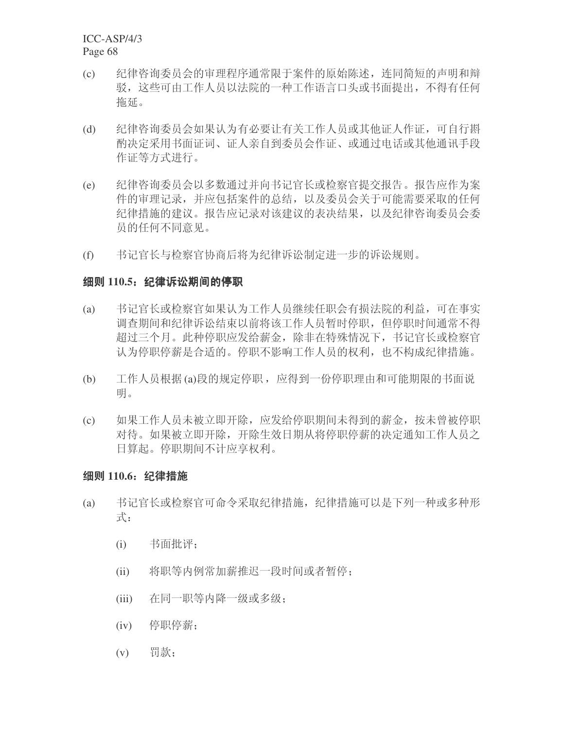- (c) 纪律咨询委员会的审理程序通常限于案件的原始陈述, 连同简短的声明和辩 驳, 这些可由工作人员以法院的一种工作语言口头或书面提出, 不得有任何 拖延。
- (d) 纪律咨询委员会如果认为有必要让有关工作人员或其他证人作证,可自行斟 酌决定采用书面证词、证人亲自到委员会作证、或通过电话或其他通讯手段 作证等方式进行。
- (e) 纪律咨询委员会以多数通过并向书记官长或检察官提交报告。报告应作为案 件的审理记录,并应包括案件的总结,以及委员会关于可能需要采取的任何 纪律措施的建议。报告应记录对该建议的表决结果,以及纪律咨询委员会委 员的任何不同意见。
- (f) 书记官长与检察官协商后将为纪律诉讼制定进一步的诉讼规则。

#### 细则 110.5: 纪律诉讼期间的停职

- (a) 书记官长或检察官如果认为工作人员继续任职会有损法院的利益, 可在事实 调杳期间和纪律诉讼结束以前将该工作人员暂时停职,但停职时间通常不得 超过三个月。此种停职应发给薪金, 除非在特殊情况下, 书记官长或检察官 认为停职停薪是合适的。停职不影响工作人员的权利,也不构成纪律措施。
- (b) 工作人员根据 (a)段的规定停职, 应得到一份停职理由和可能期限的书面说 明。
- (c) 如果工作人员未被立即开除, 应发给停职期间未得到的薪金, 按未曾被停职 对待。如果被立即开除,开除生效日期从将停职停薪的决定通知工作人员之 日算起。停职期间不计应享权利。

#### 细则 110.6: 纪律措施

- (a) 书记官长或检察官可命令采取纪律措施, 纪律措施可以是下列一种或多种形 式:
	- $(i)$  书面批评;
	- (ii) 将职等内例常加薪推迟一段时间或者暂停;
	- (iii) 在同一职等内降一级或多级:
	- $(iv)$  停职停薪;
	- $(v)$  罚款;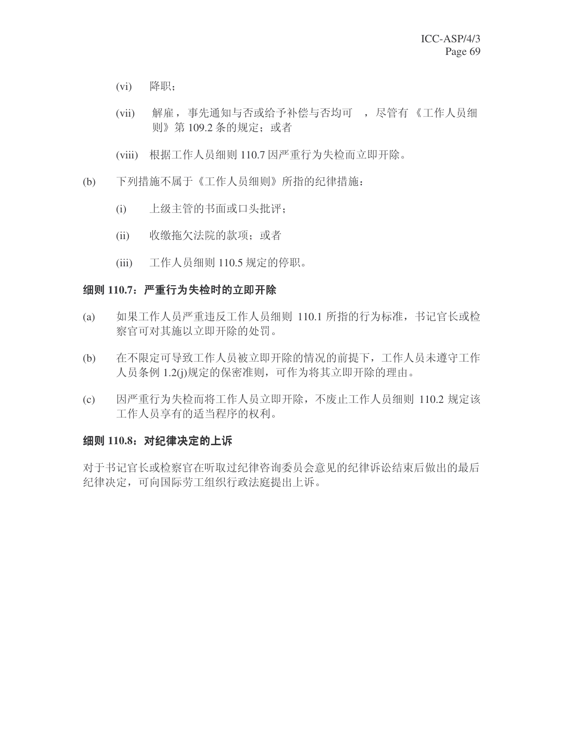- (vi) 降职;
- (vii) 解雇, 事先通知与否或给予补偿与否均可, 尽管有《工作人员细 则》第109.2 条的规定: 或者
- (viii) 根据工作人员细则 110.7 因严重行为失检而立即开除。
- (b) 下列措施不属于《工作人员细则》所指的纪律措施:
	- (i) 上级主管的书面或口头批评;
	- (ii) 收缴拖欠法院的款项; 或者
	- (iii) 工作人员细则 110.5 规定的停职。

### 细则 110.7: 严重行为失检时的立即开除

- (a) 如果工作人员严重违反工作人员细则 110.1 所指的行为标准, 书记官长或检 察官可对其施以立即开除的处罚。
- (b) 在不限定可导致工作人员被立即开除的情况的前提下,工作人员未遵守工作 人员条例 1.2(j)规定的保密准则, 可作为将其立即开除的理由。
- (c) 因严重行为失检而将工作人员立即开除, 不废止工作人员细则 110.2 规定该 工作人员享有的适当程序的权利。

### **细则 110.8: 对纪律决定的上诉**

对于书记官长或检察官在听取过纪律咨询委员会意见的纪律诉讼结束后做出的最后 纪律决定, 可向国际劳工组织行政法庭提出上诉。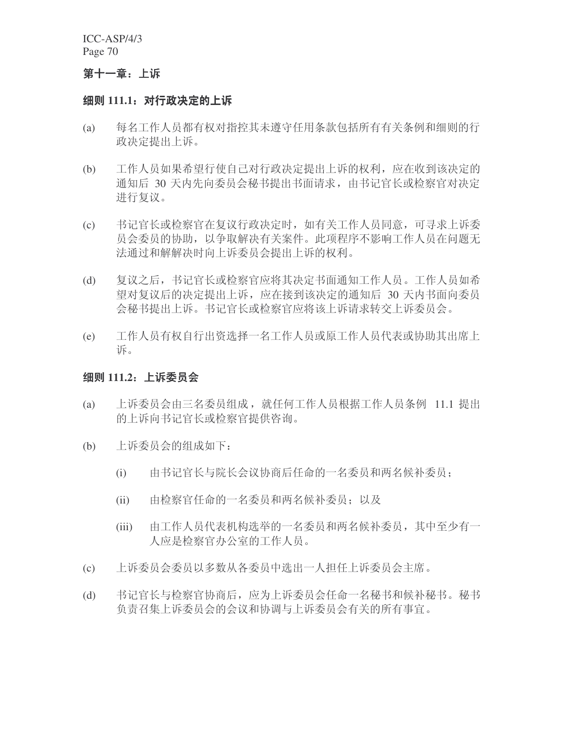### 第十一章: 上诉

#### 细则 111.1:对行政决定的上诉

- (a) 每名工作人员都有权对指控其未遵守任用条款包括所有有关条例和细则的行 政决定提出上诉。
- (b) 工作人员如果希望行使自己对行政决定提出上诉的权利, 应在收到该决定的 通知后 30 天内先向委员会秘书提出书面请求, 由书记官长或检察官对决定 进行复议。
- (c) 书记官长或检察官在复议行政决定时, 如有关工作人员同意, 可寻求上诉委 员会委员的协助, 以争取解决有关案件。此项程序不影响工作人员在问题无 法通过和解解决时向上诉委员会提出上诉的权利。
- (d) 复议之后, 书记官长或检察官应将其决定书面通知工作人员。工作人员如希 望对复议后的决定提出上诉, 应在接到该决定的通知后 30 天内书面向委员 会秘书提出上诉。书记官长或检察官应将该上诉请求转交上诉委员会。
- (e) 工作人员有权自行出资选择一名工作人员或原工作人员代表或协助其出席上 诉。

## 细则 111.2: 上诉委员会

- (a) 上诉委员会由三名委员组成, 就任何工作人员根据工作人员条例 11.1 提出 的上诉向书记官长或检察官提供咨询。
- (b) 上诉委员会的组成如下:
	- (i) 由书记官长与院长会议协商后任命的一名委员和两名候补委员:
	- (ii) 由检察官任命的一名委员和两名候补委员: 以及
	- (iii) 由工作人员代表机构选举的一名委员和两名候补委员, 其中至少有一 人应是检察官办公室的工作人员。
- (c) 上诉委员会委员以多数从各委员中选出一人担任上诉委员会主席。
- (d) 书记官长与检察官协商后,应为上诉委员会任命一名秘书和候补秘书。秘书 负责召集上诉委员会的会议和协调与上诉委员会有关的所有事宜。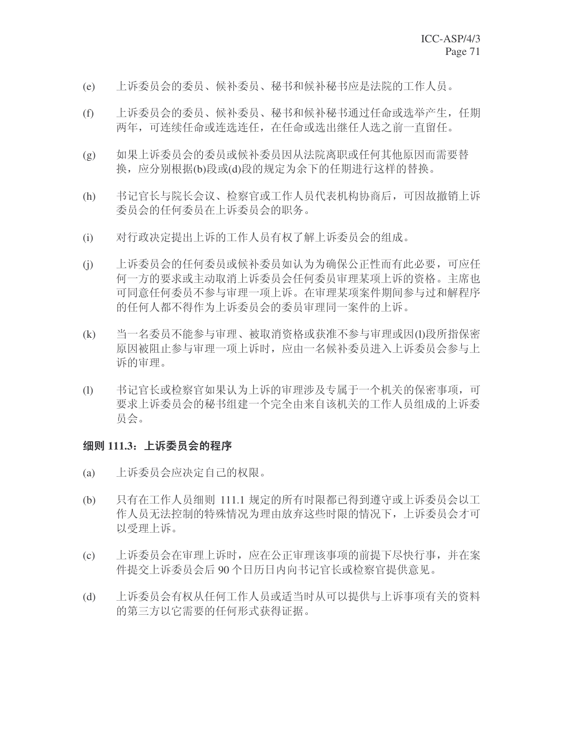- (e) 上诉委员会的委员、候补委员、秘书和候补秘书应是法院的工作人员。
- (f) 上诉委员会的委员、候补委员、秘书和候补秘书通过任命或选举产生, 任期 两年,可连续任命或连选连任, 在任命或选出继任人选之前一直留任。
- (g) 如果上诉委员会的委员或候补委员因从法院离职或任何其他原因而需要替 换, 应分别根据(b)段或(d)段的规定为余下的任期进行这样的替换。
- (h) 书记官长与院长会议、检察官或工作人员代表机构协商后,可因故撤销上诉 委员会的任何委员在上诉委员会的职务。
- (i) 对行政决定提出上诉的工作人员有权了解上诉委员会的组成。
- (i) 上诉委员会的任何委员或候补委员如认为为确保公正性而有此必要,可应任 何一方的要求或主动取消上诉委员会任何委员审理某项上诉的资格。主席也 可同意任何委员不参与审理一项上诉。在审理某项案件期间参与过和解程序 的任何人都不得作为上诉委员会的委员审理同一案件的上诉。
- (k) 当一名委员不能参与审理、被取消资格或获准不参与审理或因(l)段所指保密 原因被阻止参与审理一项上诉时,应由一名候补委员进入上诉委员会参与上 诉的审理。
- (l) 书记官长或检察官如果认为上诉的审理涉及专属于一个机关的保密事项,可 要求上诉委员会的秘书组建一个完全由来自该机关的工作人员组成的上诉委 员会。

### 细则 111.3: 上诉委员会的程序

- (a) 上诉委员会应决定自己的权限。
- (b) 只有在工作人员细则 111.1 规定的所有时限都已得到遵守或上诉委员会以工 作人员无法控制的特殊情况为理由放弃这些时限的情况下, 上诉委员会才可 以受理上诉。
- (c) 上诉委员会在审理上诉时, 应在公正审理该事项的前提下尽快行事, 并在案 件提交上诉委员会后90个日历日内向书记官长或检察官提供意见。
- (d) 上诉委员会有权从任何工作人员或适当时从可以提供与上诉事项有关的资料 的第三方以它需要的任何形式获得证据。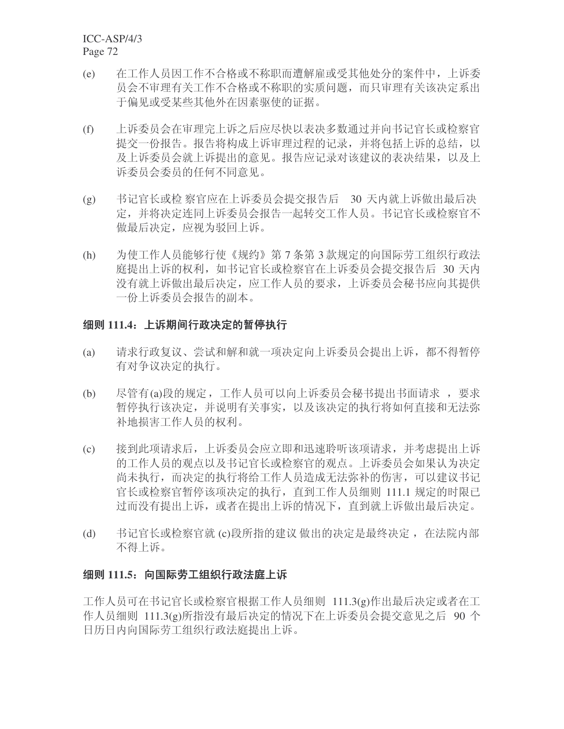- (e) 在工作人员因工作不合格或不称职而遭解雇或受其他处分的案件中, 上诉委 员会不审理有关工作不合格或不称职的实质问题,而只审理有关该决定系出 于偏见或受某些其他外在因素驱使的证据。
- (f) 上诉委员会在审理完上诉之后应尽快以表决多数通过并向书记官长或检察官 提交一份报告。报告将构成上诉审理过程的记录,并将和括上诉的总结,以 及上诉委员会就上诉提出的意见。报告应记录对该建议的表决结果,以及上 诉委员会委员的任何不同意见。
- (g) 书记官长或检 察官应在上诉委员会提交报告后 30 天内就上诉做出最后决 定,并将决定连同上诉委员会报告一起转交工作人员。书记官长或检察官不 做最后决定, 应视为驳回上诉。
- (h) 为使工作人员能够行使《规约》第7条第3款规定的向国际劳工组织行政法 庭提出上诉的权利, 如书记官长或检察官在上诉委员会提交报告后 30 天内 没有就上诉做出最后决定, 应工作人员的要求, 上诉委员会秘书应向其提供 一份上诉委员会报告的副本。

### 细则 111.4: 上诉期间行政决定的暂停执行

- (a) 请求行政复议、尝试和解和就一项决定向上诉委员会提出上诉, 都不得暂停 有对争议决定的执行。
- (b) 尽管有(a)段的规定,工作人员可以向上诉委员会秘书提出书面请求,要求 暂停执行该决定,并说明有关事实,以及该决定的执行将如何直接和无法弥 补地损害工作人员的权利。
- (c) 接到此项请求后, 上诉委员会应立即和迅速聆听该项请求, 并考虑提出上诉 的工作人员的观点以及书记官长或检察官的观点。上诉委员会如果认为决定 尚未执行,而决定的执行将给工作人员造成无法弥补的伤害,可以建议书记 官长或检察官暂停该项决定的执行, 直到工作人员细则 111.1 规定的时限已 过而没有提出上诉, 或者在提出上诉的情况下, 直到就上诉做出最后决定。
- (d) 书记官长或检察官就 (c)段所指的建议 做出的决定是最终决定, 在法院内部 不得上诉。

### **细则 111.5: 向国际劳工组织行政法庭上诉**

工作人员可在书记官长或检察官根据工作人员细则 111.3(g)作出最后决定或者在工 作人员细则 111.3(g)所指没有最后决定的情况下在上诉委员会提交意见之后 90 个 日历日内向国际劳工组织行政法庭提出上诉。